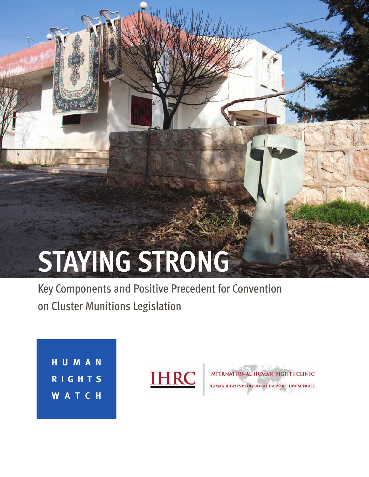# **STAYING STRONG**

Key Components and Positive Precedent for Convention on Cluster Munitions Legislation

**H U M A N R I G H T S W A T C H**

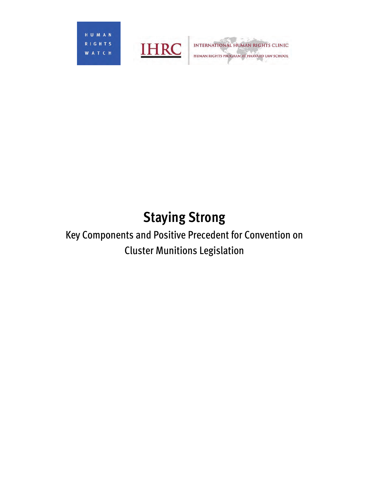HUMAN T S  $R$  | G **WATCH** 



**INTERNATIONAL HUMAN RIGHTS CLINIC**<br>HUMAN RIGHTS PROGRAM AT HARVARD LAW SCHOOL

## **Staying Strong**  Key Components and Positive Precedent for Convention on Cluster Munitions Legislation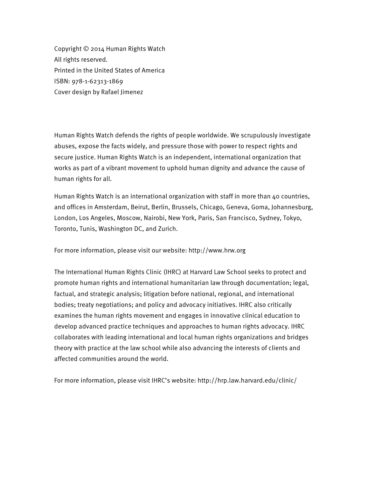Copyright © 2014 Human Rights Watch All rights reserved. Printed in the United States of America ISBN: 978-1-62313-1869 Cover design by Rafael Jimenez

Human Rights Watch defends the rights of people worldwide. We scrupulously investigate abuses, expose the facts widely, and pressure those with power to respect rights and secure justice. Human Rights Watch is an independent, international organization that works as part of a vibrant movement to uphold human dignity and advance the cause of human rights for all.

Human Rights Watch is an international organization with staff in more than 40 countries, and offices in Amsterdam, Beirut, Berlin, Brussels, Chicago, Geneva, Goma, Johannesburg, London, Los Angeles, Moscow, Nairobi, New York, Paris, San Francisco, Sydney, Tokyo, Toronto, Tunis, Washington DC, and Zurich.

For more information, please visit our website: http://www.hrw.org

The International Human Rights Clinic (IHRC) at Harvard Law School seeks to protect and promote human rights and international humanitarian law through documentation; legal, factual, and strategic analysis; litigation before national, regional, and international bodies; treaty negotiations; and policy and advocacy initiatives. IHRC also critically examines the human rights movement and engages in innovative clinical education to develop advanced practice techniques and approaches to human rights advocacy. IHRC collaborates with leading international and local human rights organizations and bridges theory with practice at the law school while also advancing the interests of clients and affected communities around the world.

For more information, please visit IHRC's website: http://hrp.law.harvard.edu/clinic/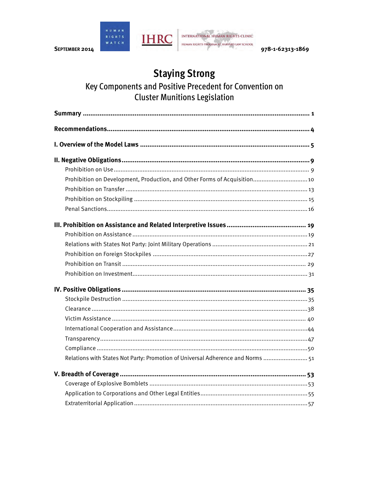

978-1-62313-1869

### **Staying Strong**

#### Key Components and Positive Precedent for Convention on **Cluster Munitions Legislation**

| Prohibition on Development, Production, and Other Forms of Acquisition 10       |
|---------------------------------------------------------------------------------|
|                                                                                 |
|                                                                                 |
|                                                                                 |
|                                                                                 |
|                                                                                 |
|                                                                                 |
|                                                                                 |
|                                                                                 |
|                                                                                 |
|                                                                                 |
|                                                                                 |
|                                                                                 |
|                                                                                 |
|                                                                                 |
|                                                                                 |
|                                                                                 |
| Relations with States Not Party: Promotion of Universal Adherence and Norms  51 |
|                                                                                 |
|                                                                                 |
|                                                                                 |
|                                                                                 |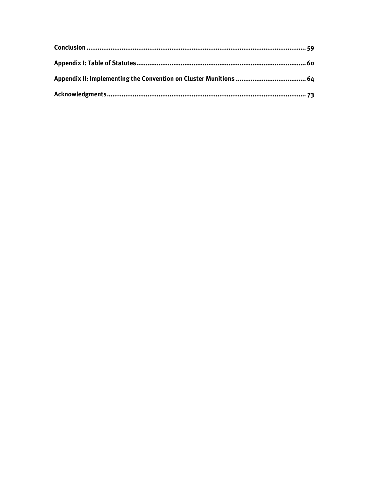| Appendix II: Implementing the Convention on Cluster Munitions …………………………………………64 |  |
|----------------------------------------------------------------------------------|--|
|                                                                                  |  |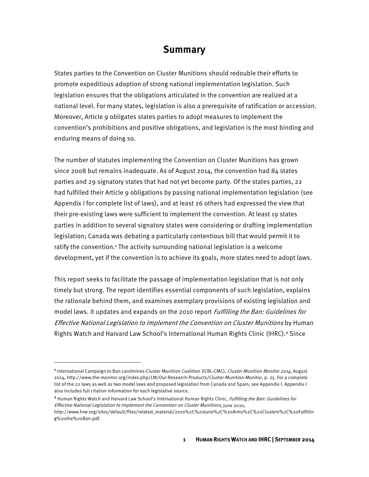#### **Summary**

States parties to the Convention on Cluster Munitions should redouble their efforts to promote expeditious adoption of strong national implementation legislation. Such legislation ensures that the obligations articulated in the convention are realized at a national level. For many states, legislation is also a prerequisite of ratification or accession. Moreover, Article 9 obligates states parties to adopt measures to implement the convention's prohibitions and positive obligations, and legislation is the most binding and enduring means of doing so.

The number of statutes implementing the Convention on Cluster Munitions has grown since 2008 but remains inadequate. As of August 2014, the convention had 84 states parties and 29 signatory states that had not yet become party. Of the states parties, 22 had fulfilled their Article 9 obligations by passing national implementation legislation (see Appendix I for complete list of laws), and at least 26 others had expressed the view that their pre-existing laws were sufficient to implement the convention. At least 19 states parties in addition to several signatory states were considering or drafting implementation legislation; Canada was debating a particularly contentious bill that would permit it to ratify the convention.<sup>1</sup> The activity surrounding national legislation is a welcome development, yet if the convention is to achieve its goals, more states need to adopt laws.

This report seeks to facilitate the passage of implementation legislation that is not only timely but strong. The report identifies essential components of such legislation, explains the rationale behind them, and examines exemplary provisions of existing legislation and model laws. It updates and expands on the 2010 report *Fulfilling the Ban: Guidelines for* Effective National Legislation to Implement the Convention on Cluster Munitions by Human Rights Watch and Harvard Law School's International Human Rights Clinic (IHRC).<sup>2</sup> Since

 $\overline{a}$ 

<sup>&</sup>lt;sup>1</sup> International Campaign to Ban Landmines-Cluster Munition Coalition (ICBL-CMC), *Cluster Munition Monitor 2014*, August 2014, http://www.the-monitor.org/index.php/LM/Our-Research-Products/Cluster-Munition-Monitor, p. 25. For a complete list of the 22 laws as well as two model laws and proposed legislation from Canada and Spain, see Appendix I. Appendix I also includes full citation information for each legislative source.

<sup>&</sup>lt;sup>2</sup> Human Rights Watch and Harvard Law School's International Human Rights Clinic, Fulfilling the Ban: Guidelines for Effective National Legislation to Implement the Convention on Cluster Munitions, June 2010,

http://www.hrw.org/sites/default/files/related\_material/2010%2C%20June%2C%20Arms%2C%20Clusters%2C%20Fulfillin g%20the%20Ban.pdf.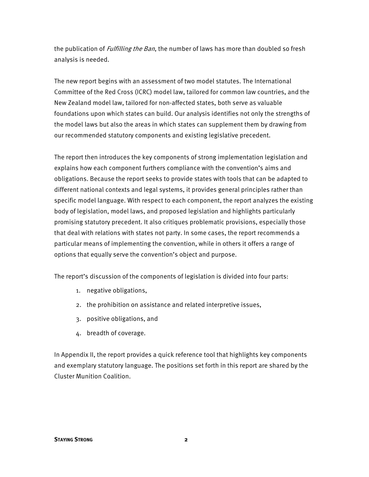the publication of *Fulfilling the Ban*, the number of laws has more than doubled so fresh analysis is needed.

The new report begins with an assessment of two model statutes. The International Committee of the Red Cross (ICRC) model law, tailored for common law countries, and the New Zealand model law, tailored for non-affected states, both serve as valuable foundations upon which states can build. Our analysis identifies not only the strengths of the model laws but also the areas in which states can supplement them by drawing from our recommended statutory components and existing legislative precedent.

The report then introduces the key components of strong implementation legislation and explains how each component furthers compliance with the convention's aims and obligations. Because the report seeks to provide states with tools that can be adapted to different national contexts and legal systems, it provides general principles rather than specific model language. With respect to each component, the report analyzes the existing body of legislation, model laws, and proposed legislation and highlights particularly promising statutory precedent. It also critiques problematic provisions, especially those that deal with relations with states not party. In some cases, the report recommends a particular means of implementing the convention, while in others it offers a range of options that equally serve the convention's object and purpose.

The report's discussion of the components of legislation is divided into four parts:

- 1. negative obligations,
- 2. the prohibition on assistance and related interpretive issues,
- 3. positive obligations, and
- 4. breadth of coverage.

In Appendix II, the report provides a quick reference tool that highlights key components and exemplary statutory language. The positions set forth in this report are shared by the Cluster Munition Coalition.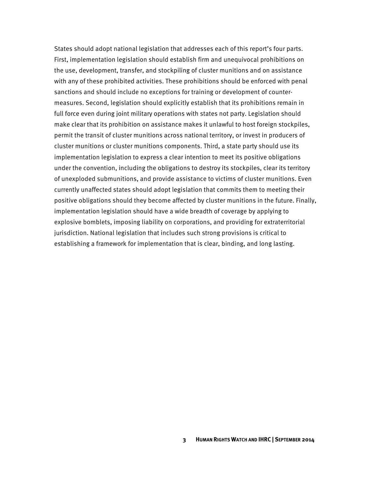States should adopt national legislation that addresses each of this report's four parts. First, implementation legislation should establish firm and unequivocal prohibitions on the use, development, transfer, and stockpiling of cluster munitions and on assistance with any of these prohibited activities. These prohibitions should be enforced with penal sanctions and should include no exceptions for training or development of countermeasures. Second, legislation should explicitly establish that its prohibitions remain in full force even during joint military operations with states not party. Legislation should make clear that its prohibition on assistance makes it unlawful to host foreign stockpiles, permit the transit of cluster munitions across national territory, or invest in producers of cluster munitions or cluster munitions components. Third, a state party should use its implementation legislation to express a clear intention to meet its positive obligations under the convention, including the obligations to destroy its stockpiles, clear its territory of unexploded submunitions, and provide assistance to victims of cluster munitions. Even currently unaffected states should adopt legislation that commits them to meeting their positive obligations should they become affected by cluster munitions in the future. Finally, implementation legislation should have a wide breadth of coverage by applying to explosive bomblets, imposing liability on corporations, and providing for extraterritorial jurisdiction. National legislation that includes such strong provisions is critical to establishing a framework for implementation that is clear, binding, and long lasting.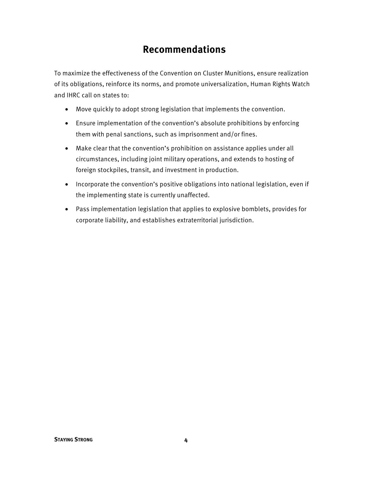#### **Recommendations**

To maximize the effectiveness of the Convention on Cluster Munitions, ensure realization of its obligations, reinforce its norms, and promote universalization, Human Rights Watch and IHRC call on states to:

- Move quickly to adopt strong legislation that implements the convention.
- Ensure implementation of the convention's absolute prohibitions by enforcing them with penal sanctions, such as imprisonment and/or fines.
- Make clear that the convention's prohibition on assistance applies under all circumstances, including joint military operations, and extends to hosting of foreign stockpiles, transit, and investment in production.
- Incorporate the convention's positive obligations into national legislation, even if the implementing state is currently unaffected.
- Pass implementation legislation that applies to explosive bomblets, provides for corporate liability, and establishes extraterritorial jurisdiction.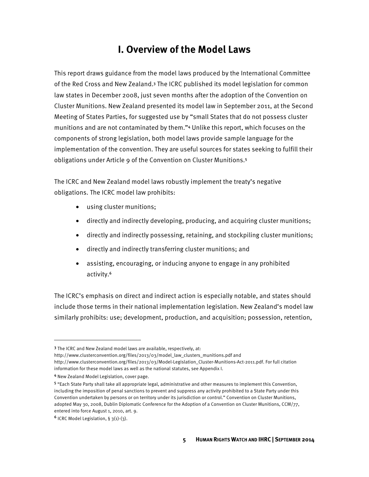#### **I. Overview of the Model Laws**

This report draws guidance from the model laws produced by the International Committee of the Red Cross and New Zealand.<sup>3</sup> The ICRC published its model legislation for common law states in December 2008, just seven months after the adoption of the Convention on Cluster Munitions. New Zealand presented its model law in September 2011, at the Second Meeting of States Parties, for suggested use by "small States that do not possess cluster munitions and are not contaminated by them."<sup>4</sup> Unlike this report, which focuses on the components of strong legislation, both model laws provide sample language for the implementation of the convention. They are useful sources for states seeking to fulfill their obligations under Article 9 of the Convention on Cluster Munitions.<sup>5</sup>

The ICRC and New Zealand model laws robustly implement the treaty's negative obligations. The ICRC model law prohibits:

- using cluster munitions;
- directly and indirectly developing, producing, and acquiring cluster munitions;
- directly and indirectly possessing, retaining, and stockpiling cluster munitions;
- directly and indirectly transferring cluster munitions; and
- assisting, encouraging, or inducing anyone to engage in any prohibited activity.<sup>6</sup>

The ICRC's emphasis on direct and indirect action is especially notable, and states should include those terms in their national implementation legislation. New Zealand's model law similarly prohibits: use; development, production, and acquisition; possession, retention,

**.** 

<sup>3</sup> The ICRC and New Zealand model laws are available, respectively, at:

http://www.clusterconvention.org/files/2013/03/model\_law\_clusters\_munitions.pdf and

http://www.clusterconvention.org/files/2013/03/Model-Legislation\_Cluster-Munitions-Act-2011.pdf. For full citation information for these model laws as well as the national statutes, see Appendix I.

<sup>4</sup> New Zealand Model Legislation, cover page.

<sup>5</sup> "Each State Party shall take all appropriate legal, administrative and other measures to implement this Convention, including the imposition of penal sanctions to prevent and suppress any activity prohibited to a State Party under this Convention undertaken by persons or on territory under its jurisdiction or control." Convention on Cluster Munitions, adopted May 30, 2008, Dublin Diplomatic Conference for the Adoption of a Convention on Cluster Munitions, CCM/77, entered into force August 1, 2010, art. 9.

 $6$  ICRC Model Legislation, § 3(1)-(3).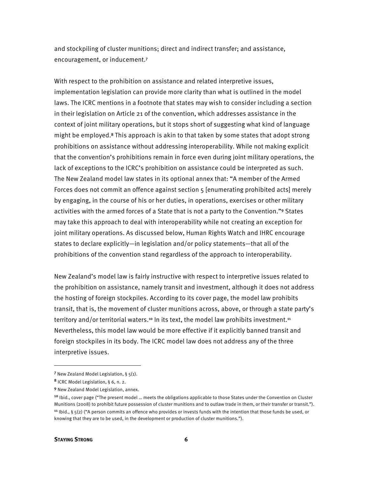and stockpiling of cluster munitions; direct and indirect transfer; and assistance, encouragement, or inducement.<sup>7</sup>

With respect to the prohibition on assistance and related interpretive issues, implementation legislation can provide more clarity than what is outlined in the model laws. The ICRC mentions in a footnote that states may wish to consider including a section in their legislation on Article 21 of the convention, which addresses assistance in the context of joint military operations, but it stops short of suggesting what kind of language might be employed.<sup>8</sup> This approach is akin to that taken by some states that adopt strong prohibitions on assistance without addressing interoperability. While not making explicit that the convention's prohibitions remain in force even during joint military operations, the lack of exceptions to the ICRC's prohibition on assistance could be interpreted as such. The New Zealand model law states in its optional annex that: "A member of the Armed Forces does not commit an offence against section 5 [enumerating prohibited acts] merely by engaging, in the course of his or her duties, in operations, exercises or other military activities with the armed forces of a State that is not a party to the Convention."<sup>9</sup> States may take this approach to deal with interoperability while not creating an exception for joint military operations. As discussed below, Human Rights Watch and IHRC encourage states to declare explicitly—in legislation and/or policy statements—that all of the prohibitions of the convention stand regardless of the approach to interoperability.

New Zealand's model law is fairly instructive with respect to interpretive issues related to the prohibition on assistance, namely transit and investment, although it does not address the hosting of foreign stockpiles. According to its cover page, the model law prohibits transit, that is, the movement of cluster munitions across, above, or through a state party's territory and/or territorial waters.<sup>10</sup> In its text, the model law prohibits investment.<sup>11</sup> Nevertheless, this model law would be more effective if it explicitly banned transit and foreign stockpiles in its body. The ICRC model law does not address any of the three interpretive issues.

<sup>7</sup> New Zealand Model Legislation, § 5(1).

<sup>8</sup> ICRC Model Legislation, § 6, n. 2.

<sup>9</sup> New Zealand Model Legislation, annex.

<sup>&</sup>lt;sup>10</sup> Ibid., cover page ("The present model ... meets the obligations applicable to those States under the Convention on Cluster Munitions (2008) to prohibit future possession of cluster munitions and to outlaw trade in them, or their transfer or transit.").

<sup>&</sup>lt;sup>11</sup> Ibid.,  $\S$  5(2) ("A person commits an offence who provides or invests funds with the intention that those funds be used, or knowing that they are to be used, in the development or production of cluster munitions.").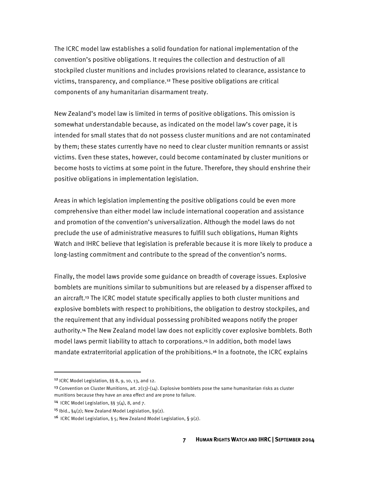The ICRC model law establishes a solid foundation for national implementation of the convention's positive obligations. It requires the collection and destruction of all stockpiled cluster munitions and includes provisions related to clearance, assistance to victims, transparency, and compliance.<sup>12</sup> These positive obligations are critical components of any humanitarian disarmament treaty.

New Zealand's model law is limited in terms of positive obligations. This omission is somewhat understandable because, as indicated on the model law's cover page, it is intended for small states that do not possess cluster munitions and are not contaminated by them; these states currently have no need to clear cluster munition remnants or assist victims. Even these states, however, could become contaminated by cluster munitions or become hosts to victims at some point in the future. Therefore, they should enshrine their positive obligations in implementation legislation.

Areas in which legislation implementing the positive obligations could be even more comprehensive than either model law include international cooperation and assistance and promotion of the convention's universalization. Although the model laws do not preclude the use of administrative measures to fulfill such obligations, Human Rights Watch and IHRC believe that legislation is preferable because it is more likely to produce a long-lasting commitment and contribute to the spread of the convention's norms.

Finally, the model laws provide some guidance on breadth of coverage issues. Explosive bomblets are munitions similar to submunitions but are released by a dispenser affixed to an aircraft.<sup>13</sup> The ICRC model statute specifically applies to both cluster munitions and explosive bomblets with respect to prohibitions, the obligation to destroy stockpiles, and the requirement that any individual possessing prohibited weapons notify the proper authority.<sup>14</sup> The New Zealand model law does not explicitly cover explosive bomblets. Both model laws permit liability to attach to corporations.<sup>15</sup> In addition, both model laws mandate extraterritorial application of the prohibitions.<sup>16</sup> In a footnote, the ICRC explains

<sup>12</sup> ICRC Model Legislation, §§ 8, 9, 10, 13, and 12.

<sup>&</sup>lt;sup>13</sup> Convention on Cluster Munitions, art.  $2(13)-(14)$ . Explosive bomblets pose the same humanitarian risks as cluster munitions because they have an area effect and are prone to failure.

<sup>&</sup>lt;sup>14</sup> ICRC Model Legislation,  $\S\S 3(4)$ , 8, and 7.

<sup>&</sup>lt;sup>15</sup> Ibid.,  $\S_4(2)$ ; New Zealand Model Legislation,  $\S_9(2)$ .

<sup>&</sup>lt;sup>16</sup> ICRC Model Legislation, § 5; New Zealand Model Legislation, §  $9(2)$ .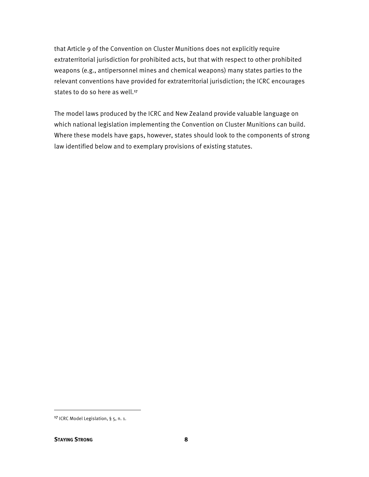that Article 9 of the Convention on Cluster Munitions does not explicitly require extraterritorial jurisdiction for prohibited acts, but that with respect to other prohibited weapons (e.g., antipersonnel mines and chemical weapons) many states parties to the relevant conventions have provided for extraterritorial jurisdiction; the ICRC encourages states to do so here as well.<sup>17</sup>

The model laws produced by the ICRC and New Zealand provide valuable language on which national legislation implementing the Convention on Cluster Munitions can build. Where these models have gaps, however, states should look to the components of strong law identified below and to exemplary provisions of existing statutes.

<sup>17</sup> ICRC Model Legislation, § 5, n. 1.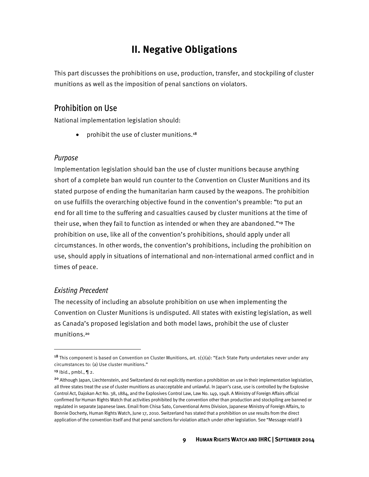#### **II. Negative Obligations**

This part discusses the prohibitions on use, production, transfer, and stockpiling of cluster munitions as well as the imposition of penal sanctions on violators.

#### Prohibition on Use

National implementation legislation should:

• prohibit the use of cluster munitions.<sup>18</sup>

#### Purpose

Implementation legislation should ban the use of cluster munitions because anything short of a complete ban would run counter to the Convention on Cluster Munitions and its stated purpose of ending the humanitarian harm caused by the weapons. The prohibition on use fulfills the overarching objective found in the convention's preamble: "to put an end for all time to the suffering and casualties caused by cluster munitions at the time of their use, when they fail to function as intended or when they are abandoned."<sup>19</sup> The prohibition on use, like all of the convention's prohibitions, should apply under all circumstances. In other words, the convention's prohibitions, including the prohibition on use, should apply in situations of international and non-international armed conflict and in times of peace.

#### Existing Precedent

The necessity of including an absolute prohibition on use when implementing the Convention on Cluster Munitions is undisputed. All states with existing legislation, as well as Canada's proposed legislation and both model laws, prohibit the use of cluster munitions.<sup>20</sup>

<sup>&</sup>lt;sup>18</sup> This component is based on Convention on Cluster Munitions, art.  $1(1)(a)$ : "Each State Party undertakes never under any circumstances to: (a) Use cluster munitions."

 $19$  Ibid., pmbl.,  $\P$  2.

<sup>&</sup>lt;sup>20</sup> Although Japan, Liechtenstein, and Switzerland do not explicitly mention a prohibition on use in their implementation legislation, all three states treat the use of cluster munitions as unacceptable and unlawful. In Japan's case, use is controlled by the Explosive Control Act, Dajokan Act No. 38, 1884, and the Explosives Control Law, Law No. 149, 1948. A Ministry of Foreign Affairs official confirmed for Human Rights Watch that activities prohibited by the convention other than production and stockpiling are banned or regulated in separate Japanese laws. Email from Chisa Sato, Conventional Arms Division, Japanese Ministry of Foreign Affairs, to Bonnie Docherty, Human Rights Watch, June 17, 2010. Switzerland has stated that a prohibition on use results from the direct application of the convention itself and that penal sanctions for violation attach under other legislation. See "Message relatif à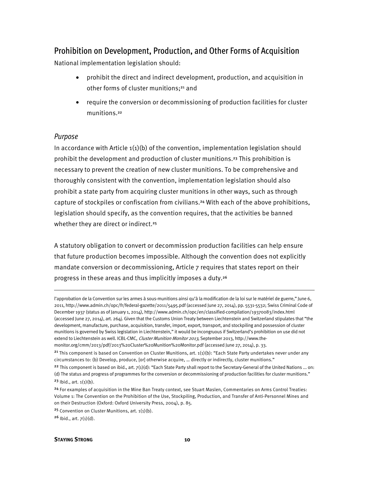#### Prohibition on Development, Production, and Other Forms of Acquisition

National implementation legislation should:

- prohibit the direct and indirect development, production, and acquisition in other forms of cluster munitions;<sup>21</sup> and
- require the conversion or decommissioning of production facilities for cluster munitions.<sup>22</sup>

#### Purpose

 $\overline{a}$ 

In accordance with Article  $1(1)(b)$  of the convention, implementation legislation should prohibit the development and production of cluster munitions.<sup>23</sup> This prohibition is necessary to prevent the creation of new cluster munitions. To be comprehensive and thoroughly consistent with the convention, implementation legislation should also prohibit a state party from acquiring cluster munitions in other ways, such as through capture of stockpiles or confiscation from civilians.<sup>24</sup> With each of the above prohibitions, legislation should specify, as the convention requires, that the activities be banned whether they are direct or indirect.<sup>25</sup>

A statutory obligation to convert or decommission production facilities can help ensure that future production becomes impossible. Although the convention does not explicitly mandate conversion or decommissioning, Article 7 requires that states report on their progress in these areas and thus implicitly imposes a duty.<sup>26</sup>

 $26$  Ibid., art.  $7(1)(d)$ .

l'approbation de la Convention sur les armes à sous-munitions ainsi qu'à la modification de la loi sur le matériel de guerre," June 6, 2011, http://www.admin.ch/opc/fr/federal-gazette/2011/5495.pdf (accessed June 27, 2014), pp. 5531-5532; Swiss Criminal Code of December 1937 (status as of January 1, 2014), http://www.admin.ch/opc/en/classified-compilation/19370083/index.html (accessed June 27, 2014), art. 264j. Given that the Customs Union Treaty between Liechtenstein and Switzerland stipulates that "the development, manufacture, purchase, acquisition, transfer, import, export, transport, and stockpiling and possession of cluster munitions is governed by Swiss legislation in Liechtenstein," it would be incongruous if Switzerland's prohibition on use did not extend to Liechtenstein as well. ICBL-CMC, Cluster Munition Monitor 2013, September 2013, http://www.themonitor.org/cmm/2013/pdf/2013%20Cluster%20Munition%20Monitor.pdf (accessed June 27, 2014), p. 33.

<sup>&</sup>lt;sup>21</sup> This component is based on Convention on Cluster Munitions, art.  $1(1)(b)$ : "Each State Party undertakes never under any circumstances to: (b) Develop, produce, [or] otherwise acquire, … directly or indirectly, cluster munitions."

<sup>&</sup>lt;sup>22</sup> This component is based on ibid., art.  $7(1)(d)$ : "Each State Party shall report to the Secretary-General of the United Nations ... on: (d) The status and progress of programmes for the conversion or decommissioning of production facilities for cluster munitions."  $23$  lbid., art.  $1(1)(b)$ .

<sup>&</sup>lt;sup>24</sup> For examples of acquisition in the Mine Ban Treaty context, see Stuart Maslen, Commentaries on Arms Control Treaties: Volume 1: The Convention on the Prohibition of the Use, Stockpiling, Production, and Transfer of Anti-Personnel Mines and on their Destruction (Oxford: Oxford University Press, 2004), p. 85.

<sup>&</sup>lt;sup>25</sup> Convention on Cluster Munitions, art.  $1(1)(b)$ .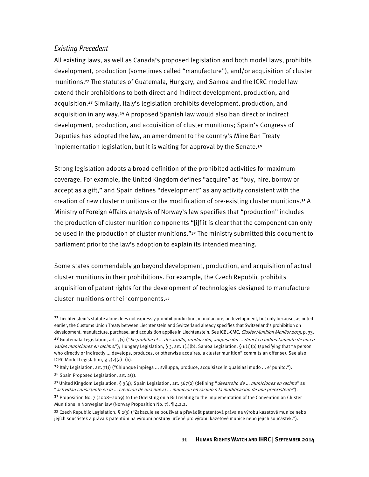#### Existing Precedent

All existing laws, as well as Canada's proposed legislation and both model laws, prohibits development, production (sometimes called "manufacture"), and/or acquisition of cluster munitions.<sup>27</sup> The statutes of Guatemala, Hungary, and Samoa and the ICRC model law extend their prohibitions to both direct and indirect development, production, and acquisition.<sup>28</sup> Similarly, Italy's legislation prohibits development, production, and acquisition in any way.<sup>29</sup> A proposed Spanish law would also ban direct or indirect development, production, and acquisition of cluster munitions; Spain's Congress of Deputies has adopted the law, an amendment to the country's Mine Ban Treaty implementation legislation, but it is waiting for approval by the Senate.<sup>30</sup>

Strong legislation adopts a broad definition of the prohibited activities for maximum coverage. For example, the United Kingdom defines "acquire" as "buy, hire, borrow or accept as a gift," and Spain defines "development" as any activity consistent with the creation of new cluster munitions or the modification of pre-existing cluster munitions.<sup>31</sup> A Ministry of Foreign Affairs analysis of Norway's law specifies that "production" includes the production of cluster munition components "[i]f it is clear that the component can only be used in the production of cluster munitions."<sup>32</sup> The ministry submitted this document to parliament prior to the law's adoption to explain its intended meaning.

Some states commendably go beyond development, production, and acquisition of actual cluster munitions in their prohibitions. For example, the Czech Republic prohibits acquisition of patent rights for the development of technologies designed to manufacture cluster munitions or their components.<sup>33</sup>

ICRC Model Legislation, § 3(2)(a)–(b).

 $\overline{a}$ 

<sup>&</sup>lt;sup>27</sup> Liechtenstein's statute alone does not expressly prohibit production, manufacture, or development, but only because, as noted earlier, the Customs Union Treaty between Liechtenstein and Switzerland already specifies that Switzerland's prohibition on development, manufacture, purchase, and acquisition applies in Liechtenstein. See ICBL-CMC, Cluster Munition Monitor 2013, p. 33. <sup>28</sup> Guatemala Legislation, art. 3(1) ("Se prohíbe el ... desarrollo, producción, adquisición ... directa o indirectamente de una o varias municiones en racimo."); Hungary Legislation, § 3, art. 1(1)(b); Samoa Legislation, § 6(1)(b) (specifying that "a person who directly or indirectly ... develops, produces, or otherwise acquires, a cluster munition" commits an offense). See also

<sup>&</sup>lt;sup>29</sup> Italy Legislation, art. 7(1) ("Chiunque impiega ... sviluppa, produce, acquisisce in qualsiasi modo ... e' punito.").

<sup>30</sup> Spain Proposed Legislation, art. 2(1).

<sup>&</sup>lt;sup>31</sup> United Kingdom Legislation, § 3(4); Spain Legislation, art. 567(2) (defining "*desarrollo de ... municiones en racimo*" as "actividad consistente en la ... creación de una nueva ... munición en racimo o la modificación de una preexistente").

 $32$  Proposition No. 7 (2008–2009) to the Odelsting on a Bill relating to the implementation of the Convention on Cluster Munitions in Norwegian law (Norway Proposition No. 7), ¶ 4.2.2.

<sup>33</sup> Czech Republic Legislation, § 2(3) ("Zakazuje se používat a převádět patentová práva na výrobu kazetové munice nebo jejích součástek a práva k patentům na výrobní postupy určené pro výrobu kazetové munice nebo jejích součástek.").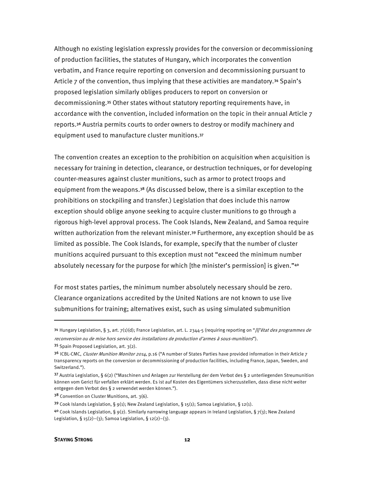Although no existing legislation expressly provides for the conversion or decommissioning of production facilities, the statutes of Hungary, which incorporates the convention verbatim, and France require reporting on conversion and decommissioning pursuant to Article 7 of the convention, thus implying that these activities are mandatory.<sup>34</sup> Spain's proposed legislation similarly obliges producers to report on conversion or decommissioning.<sup>35</sup> Other states without statutory reporting requirements have, in accordance with the convention, included information on the topic in their annual Article 7 reports.<sup>36</sup> Austria permits courts to order owners to destroy or modify machinery and equipment used to manufacture cluster munitions.<sup>37</sup>

The convention creates an exception to the prohibition on acquisition when acquisition is necessary for training in detection, clearance, or destruction techniques, or for developing counter-measures against cluster munitions, such as armor to protect troops and equipment from the weapons.<sup>38</sup> (As discussed below, there is a similar exception to the prohibitions on stockpiling and transfer.) Legislation that does include this narrow exception should oblige anyone seeking to acquire cluster munitions to go through a rigorous high-level approval process. The Cook Islands, New Zealand, and Samoa require written authorization from the relevant minister.<sup>39</sup> Furthermore, any exception should be as limited as possible. The Cook Islands, for example, specify that the number of cluster munitions acquired pursuant to this exception must not "exceed the minimum number absolutely necessary for the purpose for which [the minister's permission] is given."<sup>40</sup>

For most states parties, the minimum number absolutely necessary should be zero. Clearance organizations accredited by the United Nations are not known to use live submunitions for training; alternatives exist, such as using simulated submunition

<u>.</u>

<sup>34</sup> Hungary Legislation, § 3, art. 7(1)(d); France Legislation, art. L. 2344-5 (requiring reporting on "[l]'état des programmes de reconversion ou de mise hors service des installations de production d'armes à sous-munitions").

<sup>35</sup> Spain Proposed Legislation, art. 3(2).

<sup>3&</sup>lt;sup>6</sup> ICBL-CMC, Cluster Munition Monitor 2014, p.16 ("A number of States Parties have provided information in their Article 7 transparency reports on the conversion or decommissioning of production facilities, including France, Japan, Sweden, and Switzerland.").

<sup>37</sup> Austria Legislation, § 6(2) ("Maschinen und Anlagen zur Herstellung der dem Verbot des § 2 unterliegenden Streumunition können vom Gerict für verfallen erklärt werden. Es ist auf Kosten des Eigentümers sicherzustellen, dass diese nicht weiter entgegen dem Verbot des § 2 verwendet werden können.").

 $3^8$  Convention on Cluster Munitions, art. 3(6).

<sup>39</sup> Cook Islands Legislation, § 9(1); New Zealand Legislation, § 15(1); Samoa Legislation, § 12(1).

 $40$  Cook Islands Legislation, § 9(2). Similarly narrowing language appears in Ireland Legislation, § 7(3); New Zealand Legislation,  $\S 15(2)-(3)$ ; Samoa Legislation,  $\S 12(2)-(3)$ .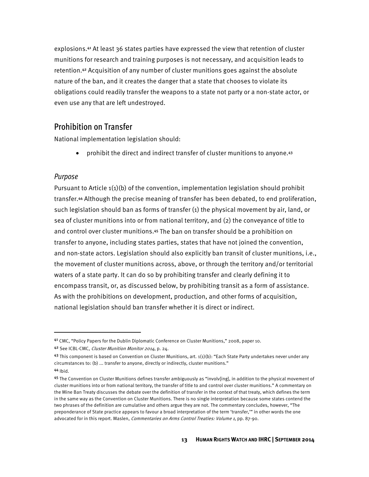explosions.<sup>41</sup> At least 36 states parties have expressed the view that retention of cluster munitions for research and training purposes is not necessary, and acquisition leads to retention.<sup>42</sup> Acquisition of any number of cluster munitions goes against the absolute nature of the ban, and it creates the danger that a state that chooses to violate its obligations could readily transfer the weapons to a state not party or a non-state actor, or even use any that are left undestroyed.

#### Prohibition on Transfer

National implementation legislation should:

• prohibit the direct and indirect transfer of cluster munitions to anyone.<sup>43</sup>

#### Purpose

Pursuant to Article  $1(1)(b)$  of the convention, implementation legislation should prohibit transfer.<sup>44</sup> Although the precise meaning of transfer has been debated, to end proliferation, such legislation should ban as forms of transfer (1) the physical movement by air, land, or sea of cluster munitions into or from national territory, and (2) the conveyance of title to and control over cluster munitions.<sup>45</sup> The ban on transfer should be a prohibition on transfer to anyone, including states parties, states that have not joined the convention, and non-state actors. Legislation should also explicitly ban transit of cluster munitions, i.e., the movement of cluster munitions across, above, or through the territory and/or territorial waters of a state party. It can do so by prohibiting transfer and clearly defining it to encompass transit, or, as discussed below, by prohibiting transit as a form of assistance. As with the prohibitions on development, production, and other forms of acquisition, national legislation should ban transfer whether it is direct or indirect.

<sup>41</sup> CMC, "Policy Papers for the Dublin Diplomatic Conference on Cluster Munitions," 2008, paper 10.

<sup>42</sup> See ICBL-CMC, Cluster Munition Monitor 2014, p. 24.

<sup>43</sup> This component is based on Convention on Cluster Munitions, art.  $1(1)(b)$ : "Each State Party undertakes never under any circumstances to: (b) ... transfer to anyone, directly or indirectly, cluster munitions."

<sup>44</sup> Ibid.

<sup>45</sup> The Convention on Cluster Munitions defines transfer ambiguously as "involv[ing], in addition to the physical movement of cluster munitions into or from national territory, the transfer of title to and control over cluster munitions." A commentary on the Mine Ban Treaty discusses the debate over the definition of transfer in the context of that treaty, which defines the term in the same way as the Convention on Cluster Munitions. There is no single interpretation because some states contend the two phrases of the definition are cumulative and others argue they are not. The commentary concludes, however, "The preponderance of State practice appears to favour a broad interpretation of the term 'transfer,'" in other words the one advocated for in this report. Maslen, *Commentaries on Arms Control Treaties: Volume 1*, pp. 87-90.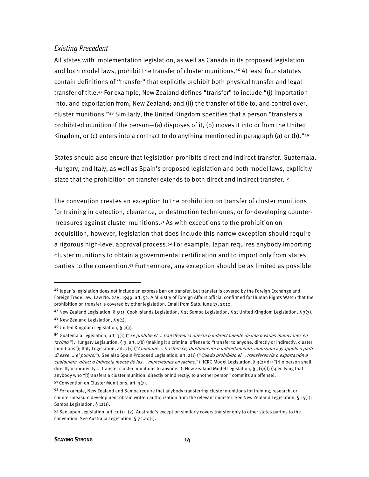#### Existing Precedent

All states with implementation legislation, as well as Canada in its proposed legislation and both model laws, prohibit the transfer of cluster munitions.<sup>46</sup> At least four statutes contain definitions of "transfer" that explicitly prohibit both physical transfer and legal transfer of title.<sup>47</sup> For example, New Zealand defines "transfer" to include "(i) importation into, and exportation from, New Zealand; and (ii) the transfer of title to, and control over, cluster munitions."<sup>48</sup> Similarly, the United Kingdom specifies that a person "transfers a prohibited munition if the person—(a) disposes of it, (b) moves it into or from the United Kingdom, or (c) enters into a contract to do anything mentioned in paragraph (a) or (b)."49

States should also ensure that legislation prohibits direct and indirect transfer. Guatemala, Hungary, and Italy, as well as Spain's proposed legislation and both model laws, explicitly state that the prohibition on transfer extends to both direct and indirect transfer.<sup>50</sup>

The convention creates an exception to the prohibition on transfer of cluster munitions for training in detection, clearance, or destruction techniques, or for developing countermeasures against cluster munitions.<sup>51</sup> As with exceptions to the prohibition on acquisition, however, legislation that does include this narrow exception should require a rigorous high-level approval process.<sup>52</sup> For example, Japan requires anybody importing cluster munitions to obtain a governmental certification and to import only from states parties to the convention.<sup>53</sup> Furthermore, any exception should be as limited as possible

<sup>4&</sup>lt;sup>6</sup> Japan's legislation does not include an express ban on transfer, but transfer is covered by the Foreign Exchange and Foreign Trade Law, Law No. 228, 1949, art. 52. A Ministry of Foreign Affairs official confirmed for Human Rights Watch that the prohibition on transfer is covered by other legislation. Email from Sato, June 17, 2010.

<sup>47</sup> New Zealand Legislation, § 5(1); Cook Islands Legislation, § 2; Samoa Legislation, § 2; United Kingdom Legislation, § 3(3).

 $48$  New Zealand Legislation, §  $5(1)$ .

<sup>49</sup> United Kingdom Legislation, § 3(3).

<sup>5</sup>º Guatemala Legislation, art. 3(1) ("Se prohíbe el ... transferencia directa o indirectamente de una o varias municiones en racimo."); Hungary Legislation, § 3, art.  $1(b)$  (making it a criminal offense to "transfer to anyone, directly or indirectly, cluster munitions"); Italy Legislation, art. 7(1) ("Chiunque ... trasferisce, direttamente o indirettamente, munizioni a grappolo o parti di esse ... e' punito."). See also Spain Proposed Legislation, art. 2(1) ("Quedo prohibido el ... transferencia o exportación a cualquiera, direct o indirecta mente de las ... muncieones en racimo."); ICRC Model Legislation, § 3(2)(d) ("[N]o person shall, directly or indirectly ... transfer cluster munitions to anyone."); New Zealand Model Legislation, §  $5(1)(d)$  (specifying that anybody who "[t]ransfers a cluster munition, directly or indirectly, to another person" commits an offense).

<sup>51</sup> Convention on Cluster Munitions, art. 3(7).

<sup>52</sup> For example, New Zealand and Samoa require that anybody transferring cluster munitions for training, research, or counter-measure development obtain written authorization from the relevant minister. See New Zealand Legislation, § 15(1); Samoa Legislation, § 12(1).

<sup>53</sup> See Japan Legislation, art. 10(1)–(2). Australia's exception similarly covers transfer only to other states parties to the convention. See Australia Legislation, § 72.40(1).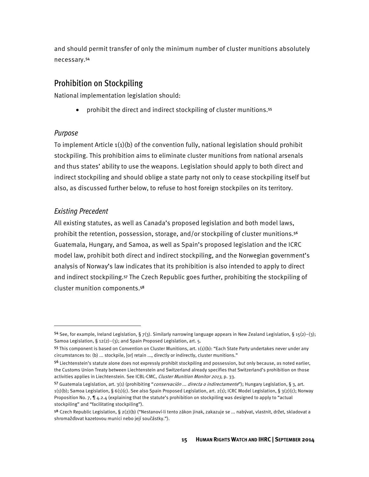and should permit transfer of only the minimum number of cluster munitions absolutely necessary.<sup>54</sup>

#### Prohibition on Stockpiling

National implementation legislation should:

• prohibit the direct and indirect stockpiling of cluster munitions.<sup>55</sup>

#### Purpose

To implement Article  $1(1)(b)$  of the convention fully, national legislation should prohibit stockpiling. This prohibition aims to eliminate cluster munitions from national arsenals and thus states' ability to use the weapons. Legislation should apply to both direct and indirect stockpiling and should oblige a state party not only to cease stockpiling itself but also, as discussed further below, to refuse to host foreign stockpiles on its territory.

#### Existing Precedent

**.** 

All existing statutes, as well as Canada's proposed legislation and both model laws, prohibit the retention, possession, storage, and/or stockpiling of cluster munitions.<sup>56</sup> Guatemala, Hungary, and Samoa, as well as Spain's proposed legislation and the ICRC model law, prohibit both direct and indirect stockpiling, and the Norwegian government's analysis of Norway's law indicates that its prohibition is also intended to apply to direct and indirect stockpiling.<sup>57</sup> The Czech Republic goes further, prohibiting the stockpiling of cluster munition components.<sup>58</sup>

<sup>54</sup> See, for example, Ireland Legislation, § 7(3). Similarly narrowing language appears in New Zealand Legislation, § 15(2)-(3); Samoa Legislation, § 12(2)–(3); and Spain Proposed Legislation, art. 5.

<sup>55</sup> This component is based on Convention on Cluster Munitions, art. 1(1)(b): "Each State Party undertakes never under any circumstances to: (b) ... stockpile, [or] retain ..., directly or indirectly, cluster munitions."

<sup>56</sup> Liechtenstein's statute alone does not expressly prohibit stockpiling and possession, but only because, as noted earlier, the Customs Union Treaty between Liechtenstein and Switzerland already specifies that Switzerland's prohibition on those activities applies in Liechtenstein. See ICBL-CMC, Cluster Munition Monitor 2013, p. 33.

<sup>57</sup> Guatemala Legislation, art. 3(1) (prohibiting "conservación ... directa o indirectamente"); Hungary Legislation, § 3, art. 1(1)(b); Samoa Legislation, § 6(1)(c). See also Spain Proposed Legislation, art. 2(1); ICRC Model Legislation, § 3(2)(c); Norway Proposition No. 7, ¶ 4.2.4 (explaining that the statute's prohibition on stockpiling was designed to apply to "actual stockpiling" and "facilitating stockpiling").

<sup>58</sup> Czech Republic Legislation, § 2(2)(b) ("Nestanoví-li tento zákon jinak, zakazuje se ... nabývat, vlastnit, držet, skladovat a shromažďovat kazetovou munici nebo její součástky.").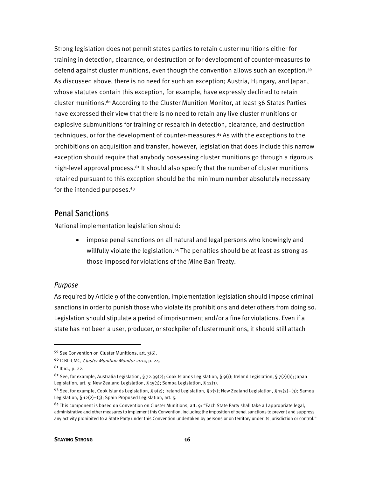Strong legislation does not permit states parties to retain cluster munitions either for training in detection, clearance, or destruction or for development of counter-measures to defend against cluster munitions, even though the convention allows such an exception.<sup>59</sup> As discussed above, there is no need for such an exception; Austria, Hungary, and Japan, whose statutes contain this exception, for example, have expressly declined to retain cluster munitions.<sup>60</sup> According to the Cluster Munition Monitor, at least 36 States Parties have expressed their view that there is no need to retain any live cluster munitions or explosive submunitions for training or research in detection, clearance, and destruction techniques, or for the development of counter-measures.<sup>61</sup> As with the exceptions to the prohibitions on acquisition and transfer, however, legislation that does include this narrow exception should require that anybody possessing cluster munitions go through a rigorous high-level approval process.<sup>62</sup> It should also specify that the number of cluster munitions retained pursuant to this exception should be the minimum number absolutely necessary for the intended purposes.<sup>63</sup>

#### Penal Sanctions

National implementation legislation should:

• impose penal sanctions on all natural and legal persons who knowingly and willfully violate the legislation.<sup>64</sup> The penalties should be at least as strong as those imposed for violations of the Mine Ban Treaty.

#### Purpose

As required by Article 9 of the convention, implementation legislation should impose criminal sanctions in order to punish those who violate its prohibitions and deter others from doing so. Legislation should stipulate a period of imprisonment and/or a fine for violations. Even if a state has not been a user, producer, or stockpiler of cluster munitions, it should still attach

l

<sup>59</sup> See Convention on Cluster Munitions, art. 3(6).

<sup>60</sup> ICBL-CMC, Cluster Munition Monitor 2014, p. 24.

<sup>61</sup> Ibid., p. 22.

<sup>&</sup>lt;sup>62</sup> See, for example, Australia Legislation, § 72.39(2); Cook Islands Legislation, § 9(1); Ireland Legislation, § 7(2)(a); Japan Legislation, art. 5; New Zealand Legislation, § 15(1); Samoa Legislation, § 12(1).

<sup>63</sup> See, for example, Cook Islands Legislation, § 9(2); Ireland Legislation, § 7(3); New Zealand Legislation, § 15(2)-(3); Samoa Legislation, § 12(2)-(3); Spain Proposed Legislation, art. 5.

<sup>64</sup> This component is based on Convention on Cluster Munitions, art. 9: "Each State Party shall take all appropriate legal, administrative and other measures to implement this Convention, including the imposition of penal sanctions to prevent and suppress any activity prohibited to a State Party under this Convention undertaken by persons or on territory under its jurisdiction or control."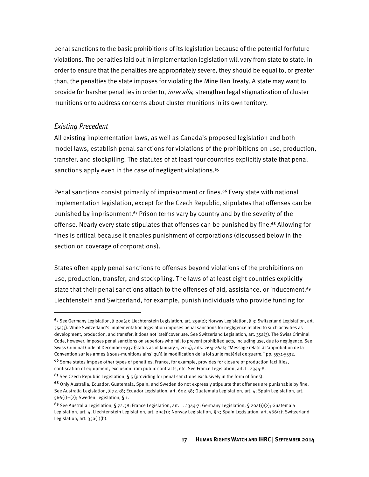penal sanctions to the basic prohibitions of its legislation because of the potential for future violations. The penalties laid out in implementation legislation will vary from state to state. In order to ensure that the penalties are appropriately severe, they should be equal to, or greater than, the penalties the state imposes for violating the Mine Ban Treaty. A state may want to provide for harsher penalties in order to, *inter alia*, strengthen legal stigmatization of cluster munitions or to address concerns about cluster munitions in its own territory.

#### Existing Precedent

 $\overline{\phantom{a}}$ 

All existing implementation laws, as well as Canada's proposed legislation and both model laws, establish penal sanctions for violations of the prohibitions on use, production, transfer, and stockpiling. The statutes of at least four countries explicitly state that penal sanctions apply even in the case of negligent violations.<sup>65</sup>

Penal sanctions consist primarily of imprisonment or fines.<sup>66</sup> Every state with national implementation legislation, except for the Czech Republic, stipulates that offenses can be punished by imprisonment.<sup>67</sup> Prison terms vary by country and by the severity of the offense. Nearly every state stipulates that offenses can be punished by fine.<sup>68</sup> Allowing for fines is critical because it enables punishment of corporations (discussed below in the section on coverage of corporations).

States often apply penal sanctions to offenses beyond violations of the prohibitions on use, production, transfer, and stockpiling. The laws of at least eight countries explicitly state that their penal sanctions attach to the offenses of aid, assistance, or inducement.<sup>69</sup> Liechtenstein and Switzerland, for example, punish individuals who provide funding for

<sup>65</sup> See Germany Legislation, § 20a(4); Liechtenstein Legislation, art. 29a(2); Norway Legislation, § 3; Switzerland Legislation, art. 35a(3). While Switzerland's implementation legislation imposes penal sanctions for negligence related to such activities as development, production, and transfer, it does not itself cover use. See Switzerland Legislation, art. 35a(3). The Swiss Criminal Code, however, imposes penal sanctions on superiors who fail to prevent prohibited acts, including use, due to negligence. See Swiss Criminal Code of December 1937 (status as of January 1, 2014), arts. 264j-264k; "Message relatif à l'approbation de la Convention sur les armes à sous-munitions ainsi qu'à la modification de la loi sur le matériel de guerre," pp. 5531-5532.

<sup>66</sup> Some states impose other types of penalties. France, for example, provides for closure of production facilities, confiscation of equipment, exclusion from public contracts, etc. See France Legislation, art. L. 2344-8.

<sup>&</sup>lt;sup>67</sup> See Czech Republic Legislation, § 5 (providing for penal sanctions exclusively in the form of fines).

<sup>68</sup> Only Australia, Ecuador, Guatemala, Spain, and Sweden do not expressly stipulate that offenses are punishable by fine. See Australia Legislation, § 72.38; Ecuador Legislation, art. 602.58; Guatemala Legislation, art. 4; Spain Legislation, art. 566(1)–(2); Sweden Legislation, § 1.

<sup>69</sup> See Australia Legislation, § 72.38; France Legislation, art. L. 2344-7; Germany Legislation, § 20a(1)(2); Guatemala Legislation, art. 4; Liechtenstein Legislation, art. 29a(1); Norway Legislation, § 3; Spain Legislation, art. 566(1); Switzerland Legislation, art. 35a(1)(b).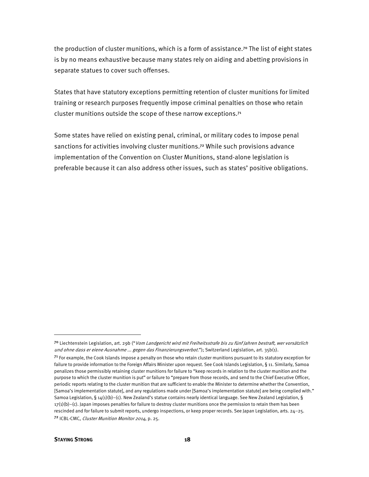the production of cluster munitions, which is a form of assistance.<sup>70</sup> The list of eight states is by no means exhaustive because many states rely on aiding and abetting provisions in separate statues to cover such offenses.

States that have statutory exceptions permitting retention of cluster munitions for limited training or research purposes frequently impose criminal penalties on those who retain cluster munitions outside the scope of these narrow exceptions.<sup>71</sup>

Some states have relied on existing penal, criminal, or military codes to impose penal sanctions for activities involving cluster munitions.<sup>72</sup> While such provisions advance implementation of the Convention on Cluster Munitions, stand-alone legislation is preferable because it can also address other issues, such as states' positive obligations.

**.** 

<sup>&</sup>lt;sup>70</sup> Liechtenstein Legislation, art. 29b ("*Vom Landgericht wird mit Freiheitsstrafe bis zu fünf Jahren bestraft, wer vorsätzlich* und ohne dass er eiene Ausnahme ... gegen das Finanzierungsverbot."); Switzerland Legislation, art. 35b(1).

 $71$  For example, the Cook Islands impose a penalty on those who retain cluster munitions pursuant to its statutory exception for failure to provide information to the Foreign Affairs Minister upon request. See Cook Islands Legislation, § 11. Similarly, Samoa penalizes those permissibly retaining cluster munitions for failure to "keep records in relation to the cluster munition and the purpose to which the cluster munition is put" or failure to "prepare from those records, and send to the Chief Executive Officer, periodic reports relating to the cluster munition that are sufficient to enable the Minister to determine whether the Convention, [Samoa's implementation statute], and any regulations made under [Samoa's implementation statute] are being complied with." Samoa Legislation, § 14(1)(b)–(c). New Zealand's statue contains nearly identical language. See New Zealand Legislation, §  $17(1)(b)$ –(c). Japan imposes penalties for failure to destroy cluster munitions once the permission to retain them has been rescinded and for failure to submit reports, undergo inspections, or keep proper records. See Japan Legislation, arts. 24–25. <sup>72</sup> ICBL-CMC, Cluster Munition Monitor 2014, p. 25.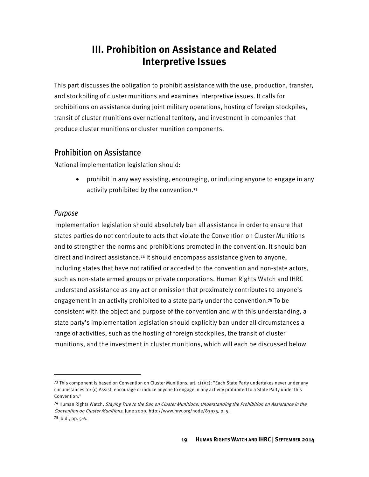#### **III. Prohibition on Assistance and Related Interpretive Issues**

This part discusses the obligation to prohibit assistance with the use, production, transfer, and stockpiling of cluster munitions and examines interpretive issues. It calls for prohibitions on assistance during joint military operations, hosting of foreign stockpiles, transit of cluster munitions over national territory, and investment in companies that produce cluster munitions or cluster munition components.

#### Prohibition on Assistance

National implementation legislation should:

• prohibit in any way assisting, encouraging, or inducing anyone to engage in any activity prohibited by the convention.<sup>73</sup>

#### Purpose

 $\overline{\phantom{a}}$ 

Implementation legislation should absolutely ban all assistance in order to ensure that states parties do not contribute to acts that violate the Convention on Cluster Munitions and to strengthen the norms and prohibitions promoted in the convention. It should ban direct and indirect assistance.<sup>74</sup> It should encompass assistance given to anyone, including states that have not ratified or acceded to the convention and non-state actors, such as non-state armed groups or private corporations. Human Rights Watch and IHRC understand assistance as any act or omission that proximately contributes to anyone's engagement in an activity prohibited to a state party under the convention.<sup>75</sup> To be consistent with the object and purpose of the convention and with this understanding, a state party's implementation legislation should explicitly ban under all circumstances a range of activities, such as the hosting of foreign stockpiles, the transit of cluster munitions, and the investment in cluster munitions, which will each be discussed below.

<sup>73</sup> This component is based on Convention on Cluster Munitions, art.  $1(1)(c)$ : "Each State Party undertakes never under any circumstances to: (c) Assist, encourage or induce anyone to engage in any activity prohibited to a State Party under this Convention."

<sup>74</sup> Human Rights Watch, Staying True to the Ban on Cluster Munitions: Understanding the Prohibition on Assistance in the Convention on Cluster Munitions, June 2009, http://www.hrw.org/node/83975, p. 5. <sup>75</sup> Ibid., pp. 5-6.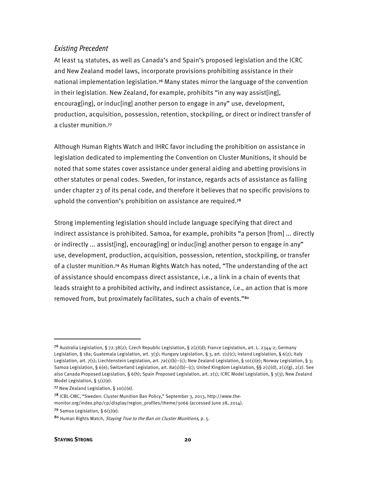#### Existing Precedent

At least 14 statutes, as well as Canada's and Spain's proposed legislation and the ICRC and New Zealand model laws, incorporate provisions prohibiting assistance in their national implementation legislation.<sup>76</sup> Many states mirror the language of the convention in their legislation. New Zealand, for example, prohibits "in any way assist[ing], encourag[ing], or induc[ing] another person to engage in any" use, development, production, acquisition, possession, retention, stockpiling, or direct or indirect transfer of a cluster munition.<sup>77</sup>

Although Human Rights Watch and IHRC favor including the prohibition on assistance in legislation dedicated to implementing the Convention on Cluster Munitions, it should be noted that some states cover assistance under general aiding and abetting provisions in other statutes or penal codes. Sweden, for instance, regards acts of assistance as falling under chapter 23 of its penal code, and therefore it believes that no specific provisions to uphold the convention's prohibition on assistance are required.<sup>78</sup>

Strong implementing legislation should include language specifying that direct and indirect assistance is prohibited. Samoa, for example, prohibits "a person [from] ... directly or indirectly ... assist[ing], encourag[ing] or induc[ing] another person to engage in any" use, development, production, acquisition, possession, retention, stockpiling, or transfer of a cluster munition.<sup>79</sup> As Human Rights Watch has noted, "The understanding of the act of assistance should encompass direct assistance, i.e., a link in a chain of events that leads straight to a prohibited activity, and indirect assistance, i.e., an action that is more removed from, but proximately facilitates, such a chain of events."<sup>80</sup>

l

<sup>&</sup>lt;sup>76</sup> Australia Legislation, § 72.38(2); Czech Republic Legislation, § 2(2)(d); France Legislation, art. L. 2344-2; Germany Legislation, § 18a; Guatemala Legislation, art. 3(3); Hungary Legislation, § 3, art. 1(1)(c); Ireland Legislation, § 6(2); Italy Legislation, art. 7(1); Liechtenstein Legislation, art. 7a(1)(b)–(c); New Zealand Legislation, § 10(1)(e); Norway Legislation, § 3; Samoa Legislation, § 6(e); Switzerland Legislation, art. 8a(1)(b)–(c); United Kingdom Legislation, §§ 2(1)(d), 2(1)(g), 2(2). See also Canada Proposed Legislation, § 6(h); Spain Proposed Legislation, art. 2(1); ICRC Model Legislation, § 3(3); New Zealand Model Legislation, § 5(1)(e).

<sup>77</sup> New Zealand Legislation,  $\S$  10(1)(e).

<sup>78</sup> ICBL-CMC, "Sweden: Cluster Munition Ban Policy," September 3, 2013, http://www.themonitor.org/index.php/cp/display/region\_profiles/theme/3066 (accessed June 28, 2014). 79 Samoa Legislation,  $\S 6(1)(e)$ .

<sup>80</sup> Human Rights Watch, *Staying True to the Ban on Cluster Munitions*, p. 5.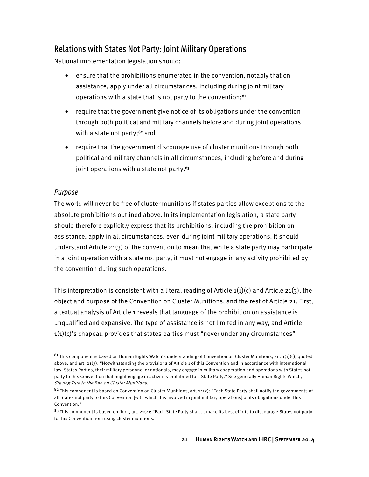#### Relations with States Not Party: Joint Military Operations

National implementation legislation should:

- ensure that the prohibitions enumerated in the convention, notably that on assistance, apply under all circumstances, including during joint military operations with a state that is not party to the convention;<sup>81</sup>
- require that the government give notice of its obligations under the convention through both political and military channels before and during joint operations with a state not party;<sup>82</sup> and
- require that the government discourage use of cluster munitions through both political and military channels in all circumstances, including before and during joint operations with a state not party.<sup>83</sup>

#### Purpose

<u>.</u>

The world will never be free of cluster munitions if states parties allow exceptions to the absolute prohibitions outlined above. In its implementation legislation, a state party should therefore explicitly express that its prohibitions, including the prohibition on assistance, apply in all circumstances, even during joint military operations. It should understand Article 21(3) of the convention to mean that while a state party may participate in a joint operation with a state not party, it must not engage in any activity prohibited by the convention during such operations.

This interpretation is consistent with a literal reading of Article  $1(1)(c)$  and Article 21(3), the object and purpose of the Convention on Cluster Munitions, and the rest of Article 21. First, a textual analysis of Article 1 reveals that language of the prohibition on assistance is unqualified and expansive. The type of assistance is not limited in any way, and Article  $1(1)(c)$ 's chapeau provides that states parties must "never under any circumstances"

 $81$  This component is based on Human Rights Watch's understanding of Convention on Cluster Munitions, art. 1(1)(c), quoted above, and art. 21(3): "Notwithstanding the provisions of Article 1 of this Convention and in accordance with international law, States Parties, their military personnel or nationals, may engage in military cooperation and operations with States not party to this Convention that might engage in activities prohibited to a State Party." See generally Human Rights Watch, Staying True to the Ban on Cluster Munitions.

<sup>82</sup> This component is based on Convention on Cluster Munitions, art. 21(2): "Each State Party shall notify the governments of all States not party to this Convention [with which it is involved in joint military operations] of its obligations under this Convention."

 $83$  This component is based on ibid., art. 21(2): "Each State Party shall ... make its best efforts to discourage States not party to this Convention from using cluster munitions."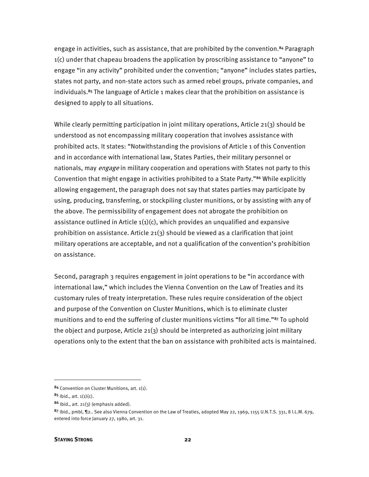engage in activities, such as assistance, that are prohibited by the convention.<sup>84</sup> Paragraph 1(c) under that chapeau broadens the application by proscribing assistance to "anyone" to engage "in any activity" prohibited under the convention; "anyone" includes states parties, states not party, and non-state actors such as armed rebel groups, private companies, and individuals.<sup>85</sup> The language of Article 1 makes clear that the prohibition on assistance is designed to apply to all situations.

While clearly permitting participation in joint military operations, Article 21(3) should be understood as not encompassing military cooperation that involves assistance with prohibited acts. It states: "Notwithstanding the provisions of Article 1 of this Convention and in accordance with international law, States Parties, their military personnel or nationals, may *engage* in military cooperation and operations with States not party to this Convention that might engage in activities prohibited to a State Party."<sup>86</sup> While explicitly allowing engagement, the paragraph does not say that states parties may participate by using, producing, transferring, or stockpiling cluster munitions, or by assisting with any of the above. The permissibility of engagement does not abrogate the prohibition on assistance outlined in Article  $1(1)(c)$ , which provides an unqualified and expansive prohibition on assistance. Article 21(3) should be viewed as a clarification that joint military operations are acceptable, and not a qualification of the convention's prohibition on assistance.

Second, paragraph 3 requires engagement in joint operations to be "in accordance with international law," which includes the Vienna Convention on the Law of Treaties and its customary rules of treaty interpretation. These rules require consideration of the object and purpose of the Convention on Cluster Munitions, which is to eliminate cluster munitions and to end the suffering of cluster munitions victims "for all time."<sup>87</sup> To uphold the object and purpose, Article 21(3) should be interpreted as authorizing joint military operations only to the extent that the ban on assistance with prohibited acts is maintained.

<sup>84</sup> Convention on Cluster Munitions, art. 1(1).

 $85$  Ibid., art.  $1(1)(c)$ .

 $86$  Ibid., art. 21(3) (emphasis added).

 $87$  lbid., pmbl,  $\P$ 2.. See also Vienna Convention on the Law of Treaties, adopted May 22, 1969, 1155 U.N.T.S. 331, 8 I.L.M. 679, entered into force January 27, 1980, art. 31.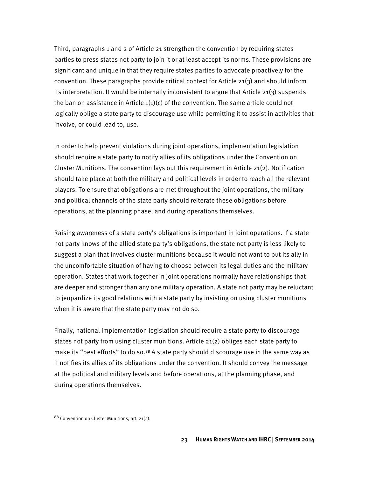Third, paragraphs 1 and 2 of Article 21 strengthen the convention by requiring states parties to press states not party to join it or at least accept its norms. These provisions are significant and unique in that they require states parties to advocate proactively for the convention. These paragraphs provide critical context for Article 21(3) and should inform its interpretation. It would be internally inconsistent to argue that Article 21(3) suspends the ban on assistance in Article  $1(1)(c)$  of the convention. The same article could not logically oblige a state party to discourage use while permitting it to assist in activities that involve, or could lead to, use.

In order to help prevent violations during joint operations, implementation legislation should require a state party to notify allies of its obligations under the Convention on Cluster Munitions. The convention lays out this requirement in Article 21(2). Notification should take place at both the military and political levels in order to reach all the relevant players. To ensure that obligations are met throughout the joint operations, the military and political channels of the state party should reiterate these obligations before operations, at the planning phase, and during operations themselves.

Raising awareness of a state party's obligations is important in joint operations. If a state not party knows of the allied state party's obligations, the state not party is less likely to suggest a plan that involves cluster munitions because it would not want to put its ally in the uncomfortable situation of having to choose between its legal duties and the military operation. States that work together in joint operations normally have relationships that are deeper and stronger than any one military operation. A state not party may be reluctant to jeopardize its good relations with a state party by insisting on using cluster munitions when it is aware that the state party may not do so.

Finally, national implementation legislation should require a state party to discourage states not party from using cluster munitions. Article 21(2) obliges each state party to make its "best efforts" to do so.<sup>88</sup> A state party should discourage use in the same way as it notifies its allies of its obligations under the convention. It should convey the message at the political and military levels and before operations, at the planning phase, and during operations themselves.

<sup>88</sup> Convention on Cluster Munitions, art. 21(2).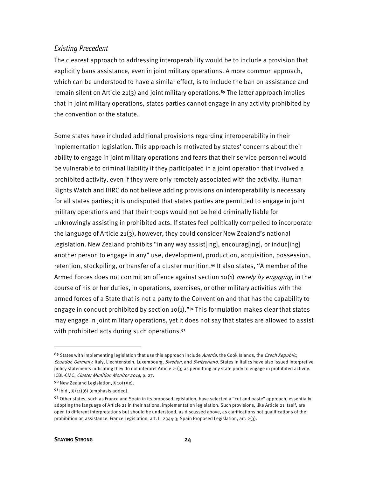#### Existing Precedent

The clearest approach to addressing interoperability would be to include a provision that explicitly bans assistance, even in joint military operations. A more common approach, which can be understood to have a similar effect, is to include the ban on assistance and remain silent on Article 21(3) and joint military operations.<sup>89</sup> The latter approach implies that in joint military operations, states parties cannot engage in any activity prohibited by the convention or the statute.

Some states have included additional provisions regarding interoperability in their implementation legislation. This approach is motivated by states' concerns about their ability to engage in joint military operations and fears that their service personnel would be vulnerable to criminal liability if they participated in a joint operation that involved a prohibited activity, even if they were only remotely associated with the activity. Human Rights Watch and IHRC do not believe adding provisions on interoperability is necessary for all states parties; it is undisputed that states parties are permitted to engage in joint military operations and that their troops would not be held criminally liable for unknowingly assisting in prohibited acts. If states feel politically compelled to incorporate the language of Article 21(3), however, they could consider New Zealand's national legislation. New Zealand prohibits "in any way assist[ing], encourag[ing], or induc[ing] another person to engage in any" use, development, production, acquisition, possession, retention, stockpiling, or transfer of a cluster munition.<sup>90</sup> It also states, "A member of the Armed Forces does not commit an offence against section 10(1) *merely by engaging*, in the course of his or her duties, in operations, exercises, or other military activities with the armed forces of a State that is not a party to the Convention and that has the capability to engage in conduct prohibited by section 10(1)."<sup>91</sup> This formulation makes clear that states may engage in joint military operations, yet it does not say that states are allowed to assist with prohibited acts during such operations.<sup>92</sup>

<sup>89</sup> States with implementing legislation that use this approach include Austria, the Cook Islands, the Czech Republic, Ecuador, Germany, Italy, Liechtenstein, Luxembourg, Sweden, and Switzerland. States in italics have also issued interpretive policy statements indicating they do not interpret Article 21(3) as permitting any state party to engage in prohibited activity. ICBL-CMC, Cluster Munition Monitor 2014, p. 27.

<sup>90</sup> New Zealand Legislation, § 10(1)(e).

 $91$  lbid., § (11)(6) (emphasis added).

<sup>92</sup> Other states, such as France and Spain in its proposed legislation, have selected a "cut and paste" approach, essentially adopting the language of Article 21 in their national implementation legislation. Such provisions, like Article 21 itself, are open to different interpretations but should be understood, as discussed above, as clarifications not qualifications of the prohibition on assistance. France Legislation, art. L. 2344-3; Spain Proposed Legislation, art. 2(3).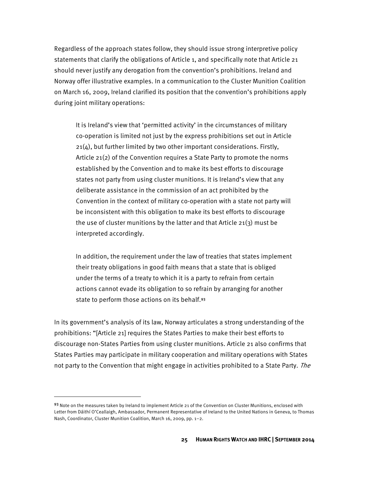Regardless of the approach states follow, they should issue strong interpretive policy statements that clarify the obligations of Article 1, and specifically note that Article 21 should never justify any derogation from the convention's prohibitions. Ireland and Norway offer illustrative examples. In a communication to the Cluster Munition Coalition on March 16, 2009, Ireland clarified its position that the convention's prohibitions apply during joint military operations:

It is Ireland's view that 'permitted activity' in the circumstances of military co-operation is limited not just by the express prohibitions set out in Article  $21(4)$ , but further limited by two other important considerations. Firstly, Article 21(2) of the Convention requires a State Party to promote the norms established by the Convention and to make its best efforts to discourage states not party from using cluster munitions. It is Ireland's view that any deliberate assistance in the commission of an act prohibited by the Convention in the context of military co-operation with a state not party will be inconsistent with this obligation to make its best efforts to discourage the use of cluster munitions by the latter and that Article 21(3) must be interpreted accordingly.

In addition, the requirement under the law of treaties that states implement their treaty obligations in good faith means that a state that is obliged under the terms of a treaty to which it is a party to refrain from certain actions cannot evade its obligation to so refrain by arranging for another state to perform those actions on its behalf.<sup>93</sup>

In its government's analysis of its law, Norway articulates a strong understanding of the prohibitions: "[Article 21] requires the States Parties to make their best efforts to discourage non-States Parties from using cluster munitions. Article 21 also confirms that States Parties may participate in military cooperation and military operations with States not party to the Convention that might engage in activities prohibited to a State Party. The

l

<sup>93</sup> Note on the measures taken by Ireland to implement Article 21 of the Convention on Cluster Munitions, enclosed with Letter from Dáithí O'Ceallaigh, Ambassador, Permanent Representative of Ireland to the United Nations in Geneva, to Thomas Nash, Coordinator, Cluster Munition Coalition, March 16, 2009, pp. 1–2.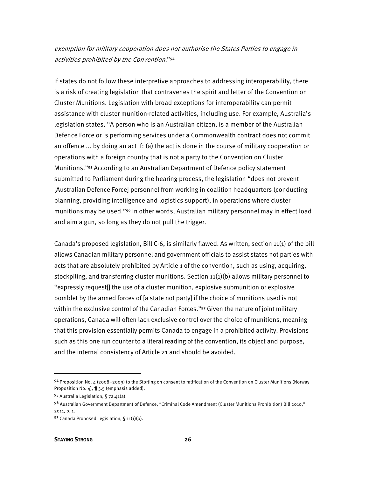#### exemption for military cooperation does not authorise the States Parties to engage in activities prohibited by the Convention."<sup>94</sup>

If states do not follow these interpretive approaches to addressing interoperability, there is a risk of creating legislation that contravenes the spirit and letter of the Convention on Cluster Munitions. Legislation with broad exceptions for interoperability can permit assistance with cluster munition-related activities, including use. For example, Australia's legislation states, "A person who is an Australian citizen, is a member of the Australian Defence Force or is performing services under a Commonwealth contract does not commit an offence ... by doing an act if: (a) the act is done in the course of military cooperation or operations with a foreign country that is not a party to the Convention on Cluster Munitions."<sup>95</sup> According to an Australian Department of Defence policy statement submitted to Parliament during the hearing process, the legislation "does not prevent [Australian Defence Force] personnel from working in coalition headquarters (conducting planning, providing intelligence and logistics support), in operations where cluster munitions may be used."<sup>96</sup> In other words, Australian military personnel may in effect load and aim a gun, so long as they do not pull the trigger.

Canada's proposed legislation, Bill C-6, is similarly flawed. As written, section 11(1) of the bill allows Canadian military personnel and government officials to assist states not parties with acts that are absolutely prohibited by Article 1 of the convention, such as using, acquiring, stockpiling, and transferring cluster munitions. Section 11(1)(b) allows military personnel to "expressly request[] the use of a cluster munition, explosive submunition or explosive bomblet by the armed forces of [a state not party] if the choice of munitions used is not within the exclusive control of the Canadian Forces."<sup>97</sup> Given the nature of joint military operations, Canada will often lack exclusive control over the choice of munitions, meaning that this provision essentially permits Canada to engage in a prohibited activity. Provisions such as this one run counter to a literal reading of the convention, its object and purpose, and the internal consistency of Article 21 and should be avoided.

 $\overline{a}$ 

<sup>94</sup> Proposition No. 4 (2008–2009) to the Storting on consent to ratification of the Convention on Cluster Munitions (Norway Proposition No. 4), ¶ 3.5 (emphasis added).

<sup>95</sup> Australia Legislation, § 72.41(a).

<sup>96</sup> Australian Government Department of Defence, "Criminal Code Amendment (Cluster Munitions Prohibition) Bill 2010," 2011, p. 1.

<sup>97</sup> Canada Proposed Legislation, § 11(1)(b).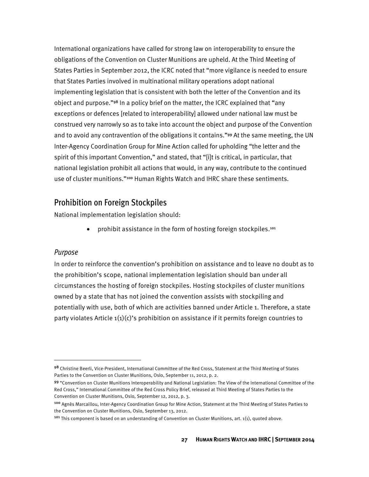International organizations have called for strong law on interoperability to ensure the obligations of the Convention on Cluster Munitions are upheld. At the Third Meeting of States Parties in September 2012, the ICRC noted that "more vigilance is needed to ensure that States Parties involved in multinational military operations adopt national implementing legislation that is consistent with both the letter of the Convention and its object and purpose."<sup>98</sup> In a policy brief on the matter, the ICRC explained that "any exceptions or defences [related to interoperability] allowed under national law must be construed very narrowly so as to take into account the object and purpose of the Convention and to avoid any contravention of the obligations it contains."<sup>99</sup> At the same meeting, the UN Inter-Agency Coordination Group for Mine Action called for upholding "the letter and the spirit of this important Convention," and stated, that "[i]t is critical, in particular, that national legislation prohibit all actions that would, in any way, contribute to the continued use of cluster munitions."<sup>100</sup> Human Rights Watch and IHRC share these sentiments.

#### Prohibition on Foreign Stockpiles

National implementation legislation should:

• prohibit assistance in the form of hosting foreign stockpiles.<sup>101</sup>

#### Purpose

**.** 

In order to reinforce the convention's prohibition on assistance and to leave no doubt as to the prohibition's scope, national implementation legislation should ban under all circumstances the hosting of foreign stockpiles. Hosting stockpiles of cluster munitions owned by a state that has not joined the convention assists with stockpiling and potentially with use, both of which are activities banned under Article 1. Therefore, a state party violates Article  $1(1)(c)$ 's prohibition on assistance if it permits foreign countries to

<sup>98</sup> Christine Beerli, Vice-President, International Committee of the Red Cross, Statement at the Third Meeting of States Parties to the Convention on Cluster Munitions, Oslo, September 11, 2012, p. 2.

<sup>99</sup> "Convention on Cluster Munitions Interoperability and National Legislation: The View of the International Committee of the Red Cross," International Committee of the Red Cross Policy Brief, released at Third Meeting of States Parties to the Convention on Cluster Munitions, Oslo, September 12, 2012, p. 3.

<sup>100</sup> Agnès Marcaillou, Inter-Agency Coordination Group for Mine Action, Statement at the Third Meeting of States Parties to the Convention on Cluster Munitions, Oslo, September 13, 2012.

<sup>&</sup>lt;sup>101</sup> This component is based on an understanding of Convention on Cluster Munitions, art. 1(1), quoted above.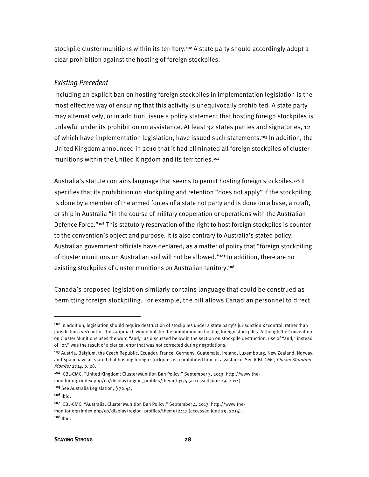stockpile cluster munitions within its territory.<sup>102</sup> A state party should accordingly adopt a clear prohibition against the hosting of foreign stockpiles.

#### Existing Precedent

Including an explicit ban on hosting foreign stockpiles in implementation legislation is the most effective way of ensuring that this activity is unequivocally prohibited. A state party may alternatively, or in addition, issue a policy statement that hosting foreign stockpiles is unlawful under its prohibition on assistance. At least 32 states parties and signatories, 12 of which have implementation legislation, have issued such statements.<sup>103</sup> In addition, the United Kingdom announced in 2010 that it had eliminated all foreign stockpiles of cluster munitions within the United Kingdom and its territories.<sup>104</sup>

Australia's statute contains language that seems to permit hosting foreign stockpiles.<sup>105</sup> It specifies that its prohibition on stockpiling and retention "does not apply" if the stockpiling is done by a member of the armed forces of a state not party and is done on a base, aircraft, or ship in Australia "in the course of military cooperation or operations with the Australian Defence Force."<sup>106</sup> This statutory reservation of the right to host foreign stockpiles is counter to the convention's object and purpose. It is also contrary to Australia's stated policy. Australian government officials have declared, as a matter of policy that "foreign stockpiling of cluster munitions on Australian soil will not be allowed."<sup>107</sup> In addition, there are no existing stockpiles of cluster munitions on Australian territory.<sup>108</sup>

Canada's proposed legislation similarly contains language that could be construed as permitting foreign stockpiling. For example, the bill allows Canadian personnel to direct

**.** 

<sup>102</sup> In addition, legislation should require destruction of stockpiles under a state party's jurisdiction or control, rather than jurisdiction and control. This approach would bolster the prohibition on hosting foreign stockpiles. Although the Convention on Cluster Munitions uses the word "and," as discussed below in the section on stockpile destruction, use of "and," instead of "or," was the result of a clerical error that was not corrected during negotiations.

<sup>103</sup> Austria, Belgium, the Czech Republic, Ecuador, France, Germany, Guatemala, Ireland, Luxembourg, New Zealand, Norway, and Spain have all stated that hosting foreign stockpiles is a prohibited form of assistance. See ICBL-CMC, Cluster Munition Monitor 2014, p. 28.

<sup>104</sup> ICBL-CMC, "United Kingdom: Cluster Munition Ban Policy," September 3, 2013, http://www.themonitor.org/index.php/cp/display/region\_profiles/theme/3135 (accessed June 29, 2014).

<sup>105</sup> See Australia Legislation, § 72.42.

 $106$  Ibid.

<sup>&</sup>lt;sup>107</sup> ICBL-CMC, "Australia: Cluster Munition Ban Policy," September 4, 2013, http://www.themonitor.org/index.php/cp/display/region\_profiles/theme/2417 (accessed June 29, 2014). <sup>108</sup> Ibid.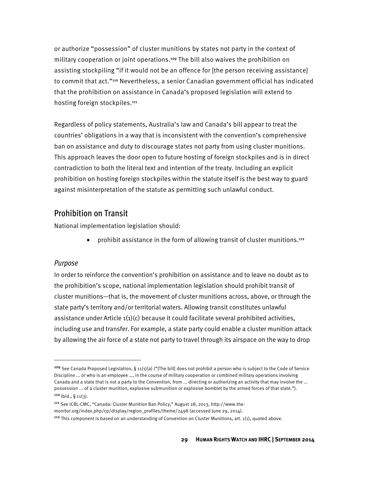or authorize "possession" of cluster munitions by states not party in the context of military cooperation or joint operations.<sup>109</sup> The bill also waives the prohibition on assisting stockpiling "if it would not be an offence for [the person receiving assistance] to commit that act."<sup>110</sup> Nevertheless, a senior Canadian government official has indicated that the prohibition on assistance in Canada's proposed legislation will extend to hosting foreign stockpiles.<sup>111</sup>

Regardless of policy statements, Australia's law and Canada's bill appear to treat the countries' obligations in a way that is inconsistent with the convention's comprehensive ban on assistance and duty to discourage states not party from using cluster munitions. This approach leaves the door open to future hosting of foreign stockpiles and is in direct contradiction to both the literal text and intention of the treaty. Including an explicit prohibition on hosting foreign stockpiles within the statute itself is the best way to guard against misinterpretation of the statute as permitting such unlawful conduct.

#### Prohibition on Transit

National implementation legislation should:

• prohibit assistance in the form of allowing transit of cluster munitions.<sup>112</sup>

#### Purpose

**.** 

In order to reinforce the convention's prohibition on assistance and to leave no doubt as to the prohibition's scope, national implementation legislation should prohibit transit of cluster munitions—that is, the movement of cluster munitions across, above, or through the state party's territory and/or territorial waters. Allowing transit constitutes unlawful assistance under Article 1(1)(c) because it could facilitate several prohibited activities, including use and transfer. For example, a state party could enable a cluster munition attack by allowing the air force of a state not party to travel through its airspace on the way to drop

<sup>111</sup> See ICBL-CMC, "Canada: Cluster Munition Ban Policy," August 28, 2013, http://www.themonitor.org/index.php/cp/display/region\_profiles/theme/2498 (accessed June 29, 2014).

<sup>&</sup>lt;sup>109</sup> See Canada Proposed Legislation, § 11(1)(a) ("[The bill] does not prohibit a person who is subject to the Code of Service Discipline ... or who is an employee …, in the course of military cooperation or combined military operations involving Canada and a state that is not a party to the Convention, from ... directing or authorizing an activity that may involve the ... possession ... of a cluster munition, explosive submunition or explosive bomblet by the armed forces of that state.").  $110$  | bid., § 11(3).

<sup>&</sup>lt;sup>112</sup> This component is based on an understanding of Convention on Cluster Munitions, art. 1(1), quoted above.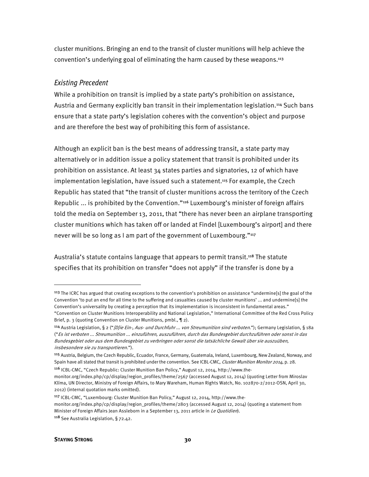cluster munitions. Bringing an end to the transit of cluster munitions will help achieve the convention's underlying goal of eliminating the harm caused by these weapons.<sup>113</sup>

#### Existing Precedent

While a prohibition on transit is implied by a state party's prohibition on assistance, Austria and Germany explicitly ban transit in their implementation legislation.<sup>114</sup> Such bans ensure that a state party's legislation coheres with the convention's object and purpose and are therefore the best way of prohibiting this form of assistance.

Although an explicit ban is the best means of addressing transit, a state party may alternatively or in addition issue a policy statement that transit is prohibited under its prohibition on assistance. At least 34 states parties and signatories, 12 of which have implementation legislation, have issued such a statement.<sup>115</sup> For example, the Czech Republic has stated that "the transit of cluster munitions across the territory of the Czech Republic ... is prohibited by the Convention."<sup>116</sup> Luxembourg's minister of foreign affairs told the media on September 13, 2011, that "there has never been an airplane transporting cluster munitions which has taken off or landed at Findel [Luxembourg's airport] and there never will be so long as I am part of the government of Luxembourg."117

Australia's statute contains language that appears to permit transit.<sup>118</sup> The statute specifies that its prohibition on transfer "does not apply" if the transfer is done by a

<sup>116</sup> ICBL-CMC, "Czech Republic: Cluster Munition Ban Policy," August 12, 2014, http://www.the-

l

<sup>&</sup>lt;sup>113</sup> The ICRC has argued that creating exceptions to the convention's prohibition on assistance "undermine[s] the goal of the Convention 'to put an end for all time to the suffering and casualties caused by cluster munitions' ... and undermine[s] the Convention's universality by creating a perception that its implementation is inconsistent in fundamental areas." "Convention on Cluster Munitions Interoperability and National Legislation," International Committee of the Red Cross Policy Brief, p. 3 (quoting Convention on Cluster Munitions, pmbl., ¶ 2).

<sup>114</sup> Austria Legislation, § 2 ("*[D]ie Ein-, Aus- und Durchfuhr ... von Streumunition sind verboten*."); Germany Legislation, § 18a ("Es ist verboten ... Streumunition ... einzuführen, auszuführen, durch das Bundesgebiet durchzuführen oder sonst in das Bundesgebiet oder aus dem Bundesgebiet zu verbringen oder sonst die tatsächliche Gewalt über sie auszuüben,

insbesondere sie zu transportieren.").

<sup>115</sup> Austria, Belgium, the Czech Republic, Ecuador, France, Germany, Guatemala, Ireland, Luxembourg, New Zealand, Norway, and Spain have all stated that transit is prohibited under the convention. See ICBL-CMC, Cluster Munition Monitor 2014, p. 28.

monitor.org/index.php/cp/display/region\_profiles/theme/2567 (accessed August 12, 2014) (quoting Letter from Miroslav Klíma, UN Director, Ministry of Foreign Affairs, to Mary Wareham, Human Rights Watch, No. 102870-2/2012-OSN, April 30, 2012) (internal quotation marks omitted).

<sup>117</sup> ICBL-CMC, "Luxembourg: Cluster Munition Ban Policy," August 12, 2014, http://www.themonitor.org/index.php/cp/display/region\_profiles/theme/2803 (accessed August 12, 2014) (quoting a statement from Minister of Foreign Affairs Jean Assleborn in a September 13, 2011 article in Le Quotidien).

<sup>118</sup> See Australia Legislation, § 72.42.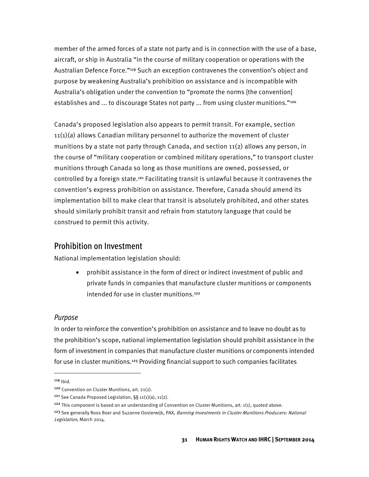member of the armed forces of a state not party and is in connection with the use of a base, aircraft, or ship in Australia "in the course of military cooperation or operations with the Australian Defence Force."<sup>119</sup> Such an exception contravenes the convention's object and purpose by weakening Australia's prohibition on assistance and is incompatible with Australia's obligation under the convention to "promote the norms [the convention] establishes and ... to discourage States not party ... from using cluster munitions."<sup>120</sup>

Canada's proposed legislation also appears to permit transit. For example, section 11(1)(a) allows Canadian military personnel to authorize the movement of cluster munitions by a state not party through Canada, and section  $11(2)$  allows any person, in the course of "military cooperation or combined military operations," to transport cluster munitions through Canada so long as those munitions are owned, possessed, or controlled by a foreign state.<sup>121</sup> Facilitating transit is unlawful because it contravenes the convention's express prohibition on assistance. Therefore, Canada should amend its implementation bill to make clear that transit is absolutely prohibited, and other states should similarly prohibit transit and refrain from statutory language that could be construed to permit this activity.

#### Prohibition on Investment

National implementation legislation should:

• prohibit assistance in the form of direct or indirect investment of public and private funds in companies that manufacture cluster munitions or components intended for use in cluster munitions.<sup>122</sup>

#### Purpose

In order to reinforce the convention's prohibition on assistance and to leave no doubt as to the prohibition's scope, national implementation legislation should prohibit assistance in the form of investment in companies that manufacture cluster munitions or components intended for use in cluster munitions.<sup>123</sup> Providing financial support to such companies facilitates

<u>.</u>

<sup>119</sup> Ibid.

<sup>120</sup> Convention on Cluster Munitions, art. 21(2).

<sup>121</sup> See Canada Proposed Legislation, §§ 11(1)(a), 11(2).

<sup>&</sup>lt;sup>122</sup> This component is based on an understanding of Convention on Cluster Munitions, art.  $1(1)$ , quoted above.

<sup>&</sup>lt;sup>123</sup> See generally Roos Boer and Suzanne Oosterwijk, PAX, Banning Investments in Cluster Munitions Producers: National Legislation, March 2014.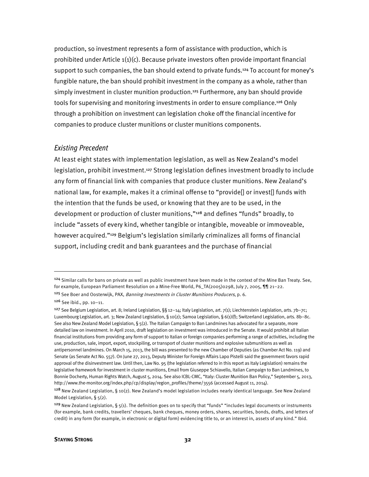production, so investment represents a form of assistance with production, which is prohibited under Article 1(1)(c). Because private investors often provide important financial support to such companies, the ban should extend to private funds.<sup>124</sup> To account for money's fungible nature, the ban should prohibit investment in the company as a whole, rather than simply investment in cluster munition production.<sup>125</sup> Furthermore, any ban should provide tools for supervising and monitoring investments in order to ensure compliance.<sup>126</sup> Only through a prohibition on investment can legislation choke off the financial incentive for companies to produce cluster munitions or cluster munitions components.

#### Existing Precedent

At least eight states with implementation legislation, as well as New Zealand's model legislation, prohibit investment.<sup>127</sup> Strong legislation defines investment broadly to include any form of financial link with companies that produce cluster munitions. New Zealand's national law, for example, makes it a criminal offense to "provide[] or invest[] funds with the intention that the funds be used, or knowing that they are to be used, in the development or production of cluster munitions,"<sup>128</sup> and defines "funds" broadly, to include "assets of every kind, whether tangible or intangible, moveable or immoveable, however acquired."<sup>129</sup> Belgium's legislation similarly criminalizes all forms of financial support, including credit and bank guarantees and the purchase of financial

 $\overline{\phantom{a}}$ 

<sup>&</sup>lt;sup>124</sup> Similar calls for bans on private as well as public investment have been made in the context of the Mine Ban Treaty. See, for example, European Parliament Resolution on a Mine-Free World, P6\_TA(2005)0298, July 7, 2005, ¶¶ 21-22.

<sup>&</sup>lt;sup>125</sup> See Boer and Oosterwijk, PAX, *Banning Investments in Cluster Munitions Producers*, p. 6.

<sup>126</sup> See ibid., pp. 10–11.

<sup>&</sup>lt;sup>127</sup> See Belgium Legislation, art. 8; Ireland Legislation, §§ 12–14; Italy Legislation, art. 7(1); Liechtenstein Legislation, arts. 7b–7c; Luxembourg Legislation, art. 3; New Zealand Legislation, § 10(2); Samoa Legislation, § 6(1)(f); Switzerland Legislation, arts. 8b–8c. See also New Zealand Model Legislation, § 5(2). The Italian Campaign to Ban Landmines has advocated for a separate, more detailed law on investment. In April 2010, draft legislation on investment was introduced in the Senate. It would prohibit all Italian financial institutions from providing any form of support to Italian or foreign companies performing a range of activities, including the use, production, sale, import, export, stockpiling, or transport of cluster munitions and explosive submunitions as well as antipersonnel landmines. On March 15, 2013, the bill was presented to the new Chamber of Deputies (as Chamber Act No. 119) and Senate (as Senate Act No. 557). On June 27, 2013, Deputy Minister for Foreign Affairs Lapo Pistelli said the government favors rapid approval of the disinvestment law. Until then, Law No. 95 (the legislation referred to in this report as Italy Legislation) remains the legislative framework for investment in cluster munitions, Email from Giuseppe Schiavello, Italian Campaign to Ban Landmines, to Bonnie Docherty, Human Rights Watch, August 5, 2014. See also ICBL-CMC, "Italy: Cluster Munition Ban Policy," September 5, 2013, http://www.the-monitor.org/index.php/cp/display/region\_profiles/theme/3556 (accessed August 11, 2014).

<sup>128</sup> New Zealand Legislation, § 10(2). New Zealand's model legislation includes nearly identical language. See New Zealand Model Legislation, § 5(2).

<sup>&</sup>lt;sup>129</sup> New Zealand Legislation, §  $5(1)$ . The definition goes on to specify that "funds" "includes legal documents or instruments (for example, bank credits, travellers' cheques, bank cheques, money orders, shares, securities, bonds, drafts, and letters of credit) in any form (for example, in electronic or digital form) evidencing title to, or an interest in, assets of any kind." Ibid.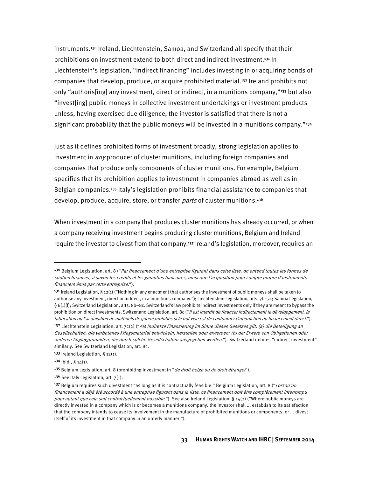instruments.<sup>130</sup> Ireland, Liechtenstein, Samoa, and Switzerland all specify that their prohibitions on investment extend to both direct and indirect investment.<sup>131</sup> In Liechtenstein's legislation, "indirect financing" includes investing in or acquiring bonds of companies that develop, produce, or acquire prohibited material.<sup>132</sup> Ireland prohibits not only "authoris[ing] any investment, direct or indirect, in a munitions company,"<sup>133</sup> but also "invest[ing] public moneys in collective investment undertakings or investment products unless, having exercised due diligence, the investor is satisfied that there is not a significant probability that the public moneys will be invested in a munitions company."<sup>134</sup>

Just as it defines prohibited forms of investment broadly, strong legislation applies to investment in *any* producer of cluster munitions, including foreign companies and companies that produce only components of cluster munitions. For example, Belgium specifies that its prohibition applies to investment in companies abroad as well as in Belgian companies.<sup>135</sup> Italy's legislation prohibits financial assistance to companies that develop, produce, acquire, store, or transfer parts of cluster munitions.<sup>136</sup>

When investment in a company that produces cluster munitions has already occurred, or when a company receiving investment begins producing cluster munitions, Belgium and Ireland require the investor to divest from that company.<sup>137</sup> Ireland's legislation, moreover, requires an

**.** 

<sup>&</sup>lt;sup>130</sup> Belgium Legislation, art. 8 ("Par financement d'une entreprise figurant dans cette liste, on entend toutes les formes de soutien financier, à savoir les crédits et les garanties bancaires, ainsi que l'acquisition pour compte propre d'instruments financiers émis par cette entreprise.").

<sup>&</sup>lt;sup>131</sup> Ireland Legislation, § 12(1) ("Nothing in any enactment that authorises the investment of public moneys shall be taken to authorise any investment, direct or indirect, in a munitions company."); Liechtenstein Legislation, arts. 7b–7c; Samoa Legislation,  $\S 6(1)$ (f); Switzerland Legislation, arts. 8b–8c. Switzerland's law prohibits indirect investments only if they are meant to bypass the prohibition on direct investments. Switzerland Legislation, art. 8c ("Il est interdit de financer indirectement le développement, la fabrication ou l'acquisition de matériels de guerre prohibés si le but visé est de contourner l'interdiction du financement direct."). <sup>132</sup> Liechtenstein Legislation, art. 7c(2) (*"Als indirekte Finanzierung im Sinne dieses Gesetzes gilt: (a) die Beteiligung an* Gesellschaften, die verbotenes Kriegsmaterial entwickeln, herstellen oder erwerben; (b) der Erwerb von Obligationen oder anderen Anglagprodukten, die durch solche Gesellschaften ausgegeben werden."). Switzerland defines "indirect investment" similarly. See Switzerland Legislation, art. 8c.

<sup>133</sup> Ireland Legislation, § 12(1).

 $134$  Ibid., §  $14(1)$ .

<sup>&</sup>lt;sup>135</sup> Belgium Legislation, art. 8 (prohibiting investment in "*de droit belge ou de droit étranger*").

 $136$  See Italy Legislation, art.  $7(1)$ .

<sup>137</sup> Belgium requires such divestment "as long as it is contractually feasible." Belgium Legislation, art. 8 ("Lorsqu'un financement a déjà été accordé à une entreprise figurant dans la liste, ce financement doit être complètement interrompu pour autant que cela soit contractuellement possible."). See also Ireland Legislation, § 14(2) ("Where public moneys are directly invested in a company which is or becomes a munitions company, the investor shall ... establish to its satisfaction that the company intends to cease its involvement in the manufacture of prohibited munitions or components, or ... divest itself of its investment in that company in an orderly manner.").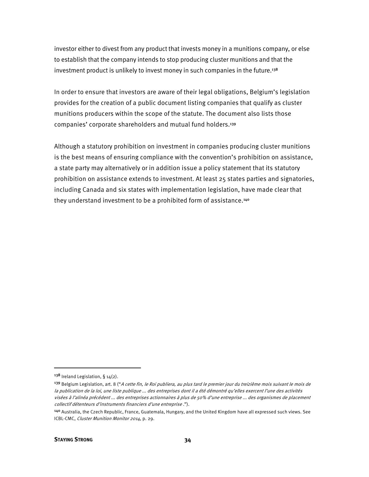investor either to divest from any product that invests money in a munitions company, or else to establish that the company intends to stop producing cluster munitions and that the investment product is unlikely to invest money in such companies in the future.<sup>138</sup>

In order to ensure that investors are aware of their legal obligations, Belgium's legislation provides for the creation of a public document listing companies that qualify as cluster munitions producers within the scope of the statute. The document also lists those companies' corporate shareholders and mutual fund holders.<sup>139</sup>

Although a statutory prohibition on investment in companies producing cluster munitions is the best means of ensuring compliance with the convention's prohibition on assistance, a state party may alternatively or in addition issue a policy statement that its statutory prohibition on assistance extends to investment. At least 25 states parties and signatories, including Canada and six states with implementation legislation, have made clear that they understand investment to be a prohibited form of assistance.<sup>140</sup>

<sup>138</sup> Ireland Legislation, § 14(2).

<sup>&</sup>lt;sup>139</sup> Belgium Legislation, art. 8 ("A cette fin, le Roi publiera, au plus tard le premier jour du treizième mois suivant le mois de la publication de la loi, une liste publique ... des entreprises dont il a été démontré qu'elles exercent l'une des activités visées à l'alinéa précédent ... des entreprises actionnaires à plus de 50% d'une entreprise ... des organismes de placement collectif détenteurs d'instruments financiers d'une entreprise .").

<sup>140</sup> Australia, the Czech Republic, France, Guatemala, Hungary, and the United Kingdom have all expressed such views. See ICBL-CMC, Cluster Munition Monitor 2014, p. 29.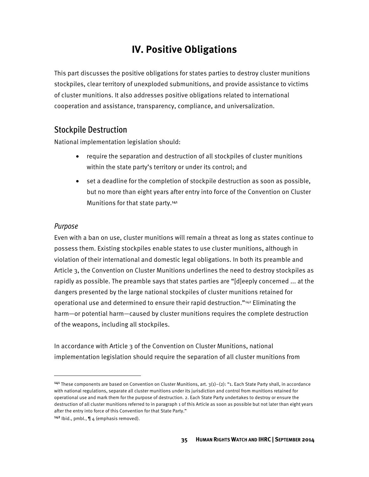# **IV. Positive Obligations**

This part discusses the positive obligations for states parties to destroy cluster munitions stockpiles, clear territory of unexploded submunitions, and provide assistance to victims of cluster munitions. It also addresses positive obligations related to international cooperation and assistance, transparency, compliance, and universalization.

## Stockpile Destruction

National implementation legislation should:

- require the separation and destruction of all stockpiles of cluster munitions within the state party's territory or under its control; and
- set a deadline for the completion of stockpile destruction as soon as possible, but no more than eight years after entry into force of the Convention on Cluster Munitions for that state party.<sup>141</sup>

## Purpose

**.** 

Even with a ban on use, cluster munitions will remain a threat as long as states continue to possess them. Existing stockpiles enable states to use cluster munitions, although in violation of their international and domestic legal obligations. In both its preamble and Article 3, the Convention on Cluster Munitions underlines the need to destroy stockpiles as rapidly as possible. The preamble says that states parties are "[d]eeply concerned ... at the dangers presented by the large national stockpiles of cluster munitions retained for operational use and determined to ensure their rapid destruction."142 Eliminating the harm—or potential harm—caused by cluster munitions requires the complete destruction of the weapons, including all stockpiles.

In accordance with Article 3 of the Convention on Cluster Munitions, national implementation legislation should require the separation of all cluster munitions from

<sup>&</sup>lt;sup>141</sup> These components are based on Convention on Cluster Munitions, art.  $3(1)-(2)$ : "1. Each State Party shall, in accordance with national regulations, separate all cluster munitions under its jurisdiction and control from munitions retained for operational use and mark them for the purpose of destruction. 2. Each State Party undertakes to destroy or ensure the destruction of all cluster munitions referred to in paragraph 1 of this Article as soon as possible but not later than eight years after the entry into force of this Convention for that State Party."

<sup>&</sup>lt;sup>142</sup> Ibid., pmbl.,  $\P$  4 (emphasis removed).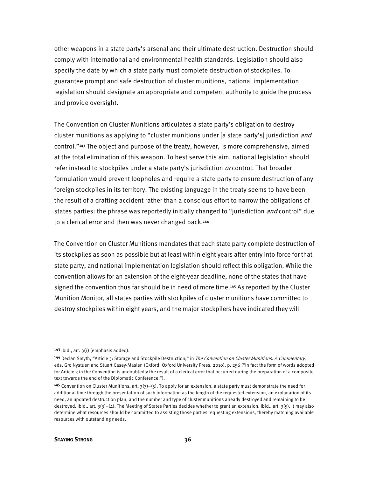other weapons in a state party's arsenal and their ultimate destruction. Destruction should comply with international and environmental health standards. Legislation should also specify the date by which a state party must complete destruction of stockpiles. To guarantee prompt and safe destruction of cluster munitions, national implementation legislation should designate an appropriate and competent authority to guide the process and provide oversight.

The Convention on Cluster Munitions articulates a state party's obligation to destroy cluster munitions as applying to "cluster munitions under [a state party's] jurisdiction and control."<sup>143</sup> The object and purpose of the treaty, however, is more comprehensive, aimed at the total elimination of this weapon. To best serve this aim, national legislation should refer instead to stockpiles under a state party's jurisdiction  $or$  control. That broader formulation would prevent loopholes and require a state party to ensure destruction of any foreign stockpiles in its territory. The existing language in the treaty seems to have been the result of a drafting accident rather than a conscious effort to narrow the obligations of states parties: the phrase was reportedly initially changed to "jurisdiction *and* control" due to a clerical error and then was never changed back.<sup>144</sup>

The Convention on Cluster Munitions mandates that each state party complete destruction of its stockpiles as soon as possible but at least within eight years after entry into force for that state party, and national implementation legislation should reflect this obligation. While the convention allows for an extension of the eight-year deadline, none of the states that have signed the convention thus far should be in need of more time.<sup>145</sup> As reported by the Cluster Munition Monitor, all states parties with stockpiles of cluster munitions have committed to destroy stockpiles within eight years, and the major stockpilers have indicated they will

 $\overline{\phantom{a}}$ 

 $143$  Ibid., art.  $3(1)$  (emphasis added).

<sup>144</sup> Declan Smyth, "Article 3: Storage and Stockpile Destruction," in The Convention on Cluster Munitions: A Commentary, eds. Gro Nystuen and Stuart Casey-Maslen (Oxford: Oxford University Press, 2010), p. 256 ("In fact the form of words adopted for Article 3 in the Convention is undoubtedly the result of a clerical error that occurred during the preparation of a composite text towards the end of the Diplomatic Conference.").

<sup>&</sup>lt;sup>145</sup> Convention on Cluster Munitions, art.  $3(3)$ –(5). To apply for an extension, a state party must demonstrate the need for additional time through the presentation of such information as the length of the requested extension, an explanation of its need, an updated destruction plan, and the number and type of cluster munitions already destroyed and remaining to be destroyed. Ibid., art. 3(3)–(4). The Meeting of States Parties decides whether to grant an extension. Ibid., art. 3(5). It may also determine what resources should be committed to assisting those parties requesting extensions, thereby matching available resources with outstanding needs.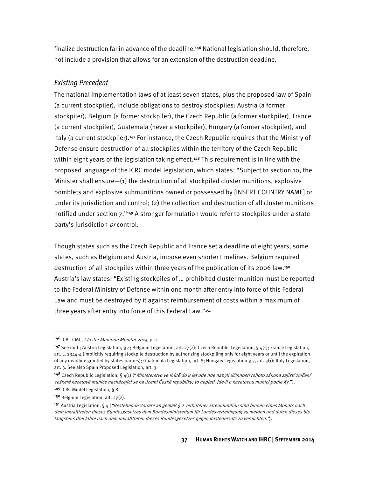finalize destruction far in advance of the deadline.<sup>146</sup> National legislation should, therefore, not include a provision that allows for an extension of the destruction deadline.

#### Existing Precedent

The national implementation laws of at least seven states, plus the proposed law of Spain (a current stockpiler), include obligations to destroy stockpiles: Austria (a former stockpiler), Belgium (a former stockpiler), the Czech Republic (a former stockpiler), France (a current stockpiler), Guatemala (never a stockpiler), Hungary (a former stockpiler), and Italy (a current stockpiler).<sup>147</sup> For instance, the Czech Republic requires that the Ministry of Defense ensure destruction of all stockpiles within the territory of the Czech Republic within eight years of the legislation taking effect.<sup>148</sup> This requirement is in line with the proposed language of the ICRC model legislation, which states: "Subject to section 10, the Minister shall ensure—(1) the destruction of all stockpiled cluster munitions, explosive bomblets and explosive submunitions owned or possessed by [INSERT COUNTRY NAME] or under its jurisdiction and control; (2) the collection and destruction of all cluster munitions notified under section 7."<sup>149</sup> A stronger formulation would refer to stockpiles under a state party's jurisdiction *or* control.

Though states such as the Czech Republic and France set a deadline of eight years, some states, such as Belgium and Austria, impose even shorter timelines. Belgium required destruction of all stockpiles within three years of the publication of its 2006 law.<sup>150</sup> Austria's law states: "Existing stockpiles of … prohibited cluster munition must be reported to the Federal Ministry of Defense within one month after entry into force of this Federal Law and must be destroyed by it against reimbursement of costs within a maximum of three years after entry into force of this Federal Law."151

**.** 

<sup>146</sup> ICBL-CMC, Cluster Munition Monitor 2014, p. 2.

<sup>&</sup>lt;sup>147</sup> See ibid.; Austria Legislation, § 4; Belgium Legislation, art. 27(2); Czech Republic Legislation, § 4(1); France Legislation, art. L. 2344-4 (implicitly requiring stockpile destruction by authorizing stockpiling only for eight years or until the expiration of any deadline granted by states parties); Guatemala Legislation, art. 8; Hungary Legislation § 3, art. 3(1); Italy Legislation, art. 3. See also Spain Proposed Legislation, art. 3.

<sup>148</sup> Czech Republic Legislation, § 4(1) ("Ministerstvo ve lhůtě do 8 let ode nab nabytí účinnosti tohoto zákona zajistí zničení veškeré kazetové munice nacházející se na území České republiky; to neplatí, jde-li o kazetovou munici podle §3."). <sup>149</sup> ICRC Model Legislation, § 8.

<sup>150</sup> Belgium Legislation, art. 27(2).

<sup>&</sup>lt;sup>151</sup> Austria Legislation, § 4 (*"Bestehende Vorräte an gemäß § 2 verbotener Streumunition sind binnen eines Monats nach* dem Inkrafttreten dieses Bundesgesetzes dem Bundesministerium für Landesverteidigung zu melden und durch dieses bis längstens drei Jahre nach dem Inkrafttreten dieses Bundesgesetzes gegen Kostenersatz zu vernichten.").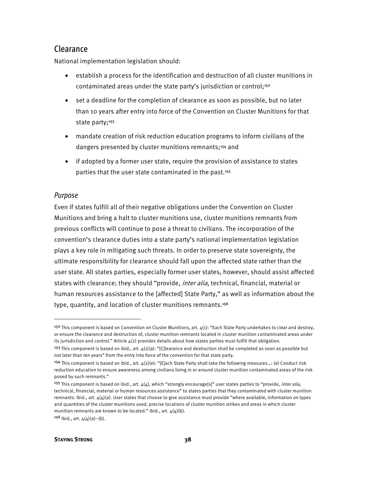## Clearance

National implementation legislation should:

- establish a process for the identification and destruction of all cluster munitions in contaminated areas under the state party's jurisdiction or control;<sup>152</sup>
- set a deadline for the completion of clearance as soon as possible, but no later than 10 years after entry into force of the Convention on Cluster Munitions for that state party;<sup>153</sup>
- mandate creation of risk reduction education programs to inform civilians of the dangers presented by cluster munitions remnants;<sup>154</sup> and
- if adopted by a former user state, require the provision of assistance to states parties that the user state contaminated in the past.<sup>155</sup>

### Purpose

l

Even if states fulfill all of their negative obligations under the Convention on Cluster Munitions and bring a halt to cluster munitions use, cluster munitions remnants from previous conflicts will continue to pose a threat to civilians. The incorporation of the convention's clearance duties into a state party's national implementation legislation plays a key role in mitigating such threats. In order to preserve state sovereignty, the ultimate responsibility for clearance should fall upon the affected state rather than the user state. All states parties, especially former user states, however, should assist affected states with clearance; they should "provide, *inter alia*, technical, financial, material or human resources assistance to the [affected] State Party," as well as information about the type, quantity, and location of cluster munitions remnants.<sup>156</sup>

<sup>&</sup>lt;sup>152</sup> This component is based on Convention on Cluster Munitions, art.  $4(1)$ : "Each State Party undertakes to clear and destroy, or ensure the clearance and destruction of, cluster munition remnants located in cluster munition contaminated areas under its jurisdiction and control." Article  $4(2)$  provides details about how states parties must fulfill that obligation.

<sup>&</sup>lt;sup>153</sup> This component is based on ibid., art.  $4(1)(a)$ : "[C]learance and destruction shall be completed as soon as possible but not later than ten years" from the entry into force of the convention for that state party.

<sup>&</sup>lt;sup>154</sup> This component is based on ibid., art.  $4(2)(e)$ : "[E]ach State Party shall take the following measures...: (e) Conduct risk reduction education to ensure awareness among civilians living in or around cluster munition contaminated areas of the risk posed by such remnants."

<sup>&</sup>lt;sup>155</sup> This component is based on ibid., art.  $4(4)$ , which "strongly encourage[s]" user states parties to "provide, *inter alia*, technical, financial, material or human resources assistance" to states parties that they contaminated with cluster munition remnants. Ibid., art.  $4(4)(a)$ . User states that choose to give assistance must provide "where available, information on types and quantities of the cluster munitions used, precise locations of cluster munition strikes and areas in which cluster munition remnants are known to be located." Ibid., art.  $4(4)(b)$ .

 $156$  Ibid., art.  $4(4)(a) - (b)$ .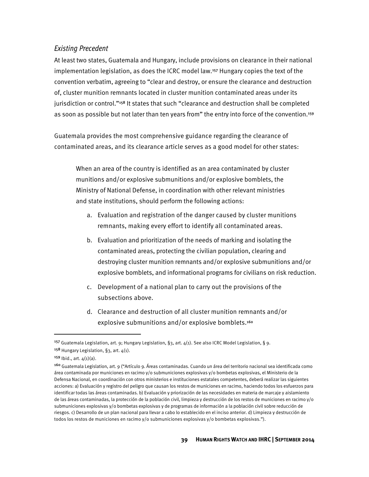### Existing Precedent

At least two states, Guatemala and Hungary, include provisions on clearance in their national implementation legislation, as does the ICRC model law.<sup>157</sup> Hungary copies the text of the convention verbatim, agreeing to "clear and destroy, or ensure the clearance and destruction of, cluster munition remnants located in cluster munition contaminated areas under its jurisdiction or control."<sup>158</sup> It states that such "clearance and destruction shall be completed as soon as possible but not later than ten years from" the entry into force of the convention.<sup>159</sup>

Guatemala provides the most comprehensive guidance regarding the clearance of contaminated areas, and its clearance article serves as a good model for other states:

When an area of the country is identified as an area contaminated by cluster munitions and/or explosive submunitions and/or explosive bomblets, the Ministry of National Defense, in coordination with other relevant ministries and state institutions, should perform the following actions:

- a. Evaluation and registration of the danger caused by cluster munitions remnants, making every effort to identify all contaminated areas.
- b. Evaluation and prioritization of the needs of marking and isolating the contaminated areas, protecting the civilian population, clearing and destroying cluster munition remnants and/or explosive submunitions and/or explosive bomblets, and informational programs for civilians on risk reduction.
- c. Development of a national plan to carry out the provisions of the subsections above.
- d. Clearance and destruction of all cluster munition remnants and/or explosive submunitions and/or explosive bomblets.<sup>160</sup>

<sup>&</sup>lt;sup>157</sup> Guatemala Legislation, art. 9; Hungary Legislation, §3, art.  $4(1)$ . See also ICRC Model Legislation, § 9.

<sup>&</sup>lt;sup>158</sup> Hungary Legislation, §3, art.  $4(1)$ .

 $159$  Ibid., art.  $4(1)(a)$ .

<sup>160</sup> Guatemala Legislation, art. 9 ("Artículo 9. Áreas contaminadas. Cuando un área del territorio nacional sea identificada como área contaminada por municiones en racimo y/o submuniciones explosivas y/o bombetas explosivas, el Ministerio de la Defensa Nacional, en coordinación con otros ministerios e instituciones estatales competentes, deberá realizar las siguientes acciones: a) Evaluación y registro del peligro que causan los restos de municiones en racimo, haciendo todos los esfuerzos para identificar todas las áreas contaminadas. b) Evaluación y priorización de las necesidades en materia de marcaje y aislamiento de las áreas contaminadas, la protección de la población civil, limpieza y destrucción de los restos de municiones en racimo y/o submuniciones explosivas y/o bombetas explosivas y de programas de información a la población civil sobre reducción de riesgos. c) Desarrollo de un plan nacional para llevar a cabo lo establecido en el inciso anterior. d) Limpieza y destrucción de todos los restos de municiones en racimo y/o submuniciones explosivas y/o bombetas explosivas.").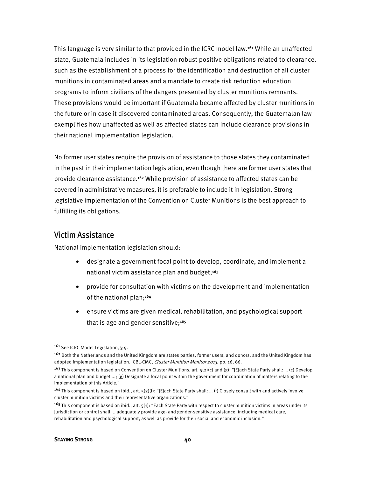This language is very similar to that provided in the ICRC model law.<sup>161</sup> While an unaffected state, Guatemala includes in its legislation robust positive obligations related to clearance, such as the establishment of a process for the identification and destruction of all cluster munitions in contaminated areas and a mandate to create risk reduction education programs to inform civilians of the dangers presented by cluster munitions remnants. These provisions would be important if Guatemala became affected by cluster munitions in the future or in case it discovered contaminated areas. Consequently, the Guatemalan law exemplifies how unaffected as well as affected states can include clearance provisions in their national implementation legislation.

No former user states require the provision of assistance to those states they contaminated in the past in their implementation legislation, even though there are former user states that provide clearance assistance.<sup>162</sup> While provision of assistance to affected states can be covered in administrative measures, it is preferable to include it in legislation. Strong legislative implementation of the Convention on Cluster Munitions is the best approach to fulfilling its obligations.

### Victim Assistance

National implementation legislation should:

- designate a government focal point to develop, coordinate, and implement a national victim assistance plan and budget; $163$
- provide for consultation with victims on the development and implementation of the national plan;<sup>164</sup>
- ensure victims are given medical, rehabilitation, and psychological support that is age and gender sensitive; $165$

l

<sup>161</sup> See ICRC Model Legislation, § 9.

<sup>&</sup>lt;sup>162</sup> Both the Netherlands and the United Kingdom are states parties, former users, and donors, and the United Kingdom has adopted implementation legislation. ICBL-CMC, Cluster Munition Monitor 2013, pp. 16, 66.

<sup>&</sup>lt;sup>163</sup> This component is based on Convention on Cluster Munitions, art.  $5(2)(c)$  and (g): "[E]ach State Party shall: ... (c) Develop a national plan and budget ...; (g) Designate a focal point within the government for coordination of matters relating to the implementation of this Article."

<sup>&</sup>lt;sup>164</sup> This component is based on ibid., art.  $5(2)(f)$ : "[E]ach State Party shall: ... (f) Closely consult with and actively involve cluster munition victims and their representative organizations."

 $165$  This component is based on ibid., art.  $5(1)$ : "Each State Party with respect to cluster munition victims in areas under its jurisdiction or control shall ... adequately provide age- and gender-sensitive assistance, including medical care, rehabilitation and psychological support, as well as provide for their social and economic inclusion."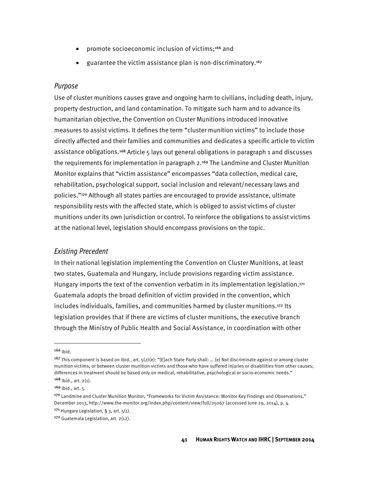- promote socioeconomic inclusion of victims;<sup>166</sup> and
- guarantee the victim assistance plan is non-discriminatory.<sup>167</sup>

#### Purpose

Use of cluster munitions causes grave and ongoing harm to civilians, including death, injury, property destruction, and land contamination. To mitigate such harm and to advance its humanitarian objective, the Convention on Cluster Munitions introduced innovative measures to assist victims. It defines the term "cluster munition victims" to include those directly affected and their families and communities and dedicates a specific article to victim assistance obligations.<sup>168</sup> Article 5 lays out general obligations in paragraph 1 and discusses the requirements for implementation in paragraph 2.<sup>169</sup> The Landmine and Cluster Munition Monitor explains that "victim assistance" encompasses "data collection, medical care, rehabilitation, psychological support, social inclusion and relevant/necessary laws and policies."<sup>170</sup> Although all states parties are encouraged to provide assistance, ultimate responsibility rests with the affected state, which is obliged to assist victims of cluster munitions under its own jurisdiction or control. To reinforce the obligations to assist victims at the national level, legislation should encompass provisions on the topic.

### Existing Precedent

In their national legislation implementing the Convention on Cluster Munitions, at least two states, Guatemala and Hungary, include provisions regarding victim assistance. Hungary imports the text of the convention verbatim in its implementation legislation.<sup>171</sup> Guatemala adopts the broad definition of victim provided in the convention, which includes individuals, families, and communities harmed by cluster munitions.<sup>172</sup> Its legislation provides that if there are victims of cluster munitions, the executive branch through the Ministry of Public Health and Social Assistance, in coordination with other

**.** 

 $166$  Ibid.

<sup>&</sup>lt;sup>167</sup> This component is based on ibid., art.  $5(2)(e)$ : "[E]ach State Party shall: ... (e) Not discriminate against or among cluster munition victims, or between cluster munition victims and those who have suffered injuries or disabilities from other causes; differences in treatment should be based only on medical, rehabilitative, psychological or socio-economic needs."  $168$  Ibid., art.  $2(1)$ .

 $169$  Ibid., art. 5.

<sup>170</sup> Landmine and Cluster Munition Monitor, "Frameworks for Victim Assistance: Monitor Key Findings and Observations," December 2013, http://www.the-monitor.org/index.php/content/view/full/25067 (accessed June 29, 2014), p. 4.  $171$  Hungary Legislation, § 3, art.  $5(1)$ .

<sup>172</sup> Guatemala Legislation, art. 2(12).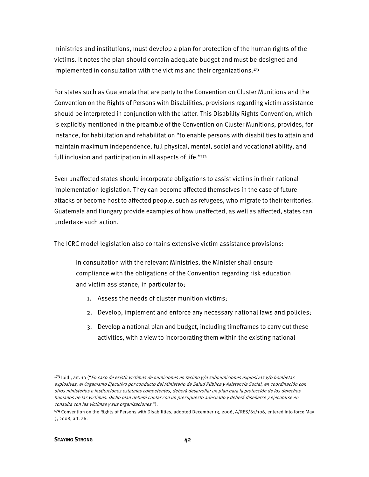ministries and institutions, must develop a plan for protection of the human rights of the victims. It notes the plan should contain adequate budget and must be designed and implemented in consultation with the victims and their organizations.<sup>173</sup>

For states such as Guatemala that are party to the Convention on Cluster Munitions and the Convention on the Rights of Persons with Disabilities, provisions regarding victim assistance should be interpreted in conjunction with the latter. This Disability Rights Convention, which is explicitly mentioned in the preamble of the Convention on Cluster Munitions, provides, for instance, for habilitation and rehabilitation "to enable persons with disabilities to attain and maintain maximum independence, full physical, mental, social and vocational ability, and full inclusion and participation in all aspects of life."<sup>174</sup>

Even unaffected states should incorporate obligations to assist victims in their national implementation legislation. They can become affected themselves in the case of future attacks or become host to affected people, such as refugees, who migrate to their territories. Guatemala and Hungary provide examples of how unaffected, as well as affected, states can undertake such action.

The ICRC model legislation also contains extensive victim assistance provisions:

In consultation with the relevant Ministries, the Minister shall ensure compliance with the obligations of the Convention regarding risk education and victim assistance, in particular to;

- 1. Assess the needs of cluster munition victims;
- 2. Develop, implement and enforce any necessary national laws and policies;
- 3. Develop a national plan and budget, including timeframes to carry out these activities, with a view to incorporating them within the existing national

**.** 

<sup>173</sup> Ibid., art. 10 ("En caso de existir víctimas de municiones en racimo y/o submuniciones explosivas y/o bombetas explosivas, el Organismo Ejecutivo por conducto del Ministerio de Salud Pública y Asistencia Social, en coordinación con otros ministerios e instituciones estatales competentes, deberá desarrollar un plan para la protección de los derechos humanos de las víctimas. Dicho plan deberá contar con un presupuesto adecuado y deberá diseñarse y ejecutarse en consulta con las víctimas y sus organizaciones.").

<sup>174</sup> Convention on the Rights of Persons with Disabilities, adopted December 13, 2006, A/RES/61/106, entered into force May 3, 2008, art. 26.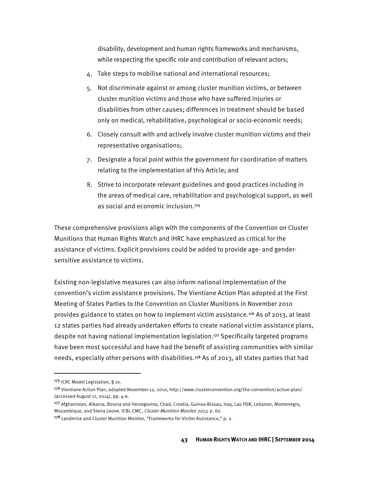disability, development and human rights frameworks and mechanisms, while respecting the specific role and contribution of relevant actors;

- 4. Take steps to mobilise national and international resources;
- 5. Not discriminate against or among cluster munition victims, or between cluster munition victims and those who have suffered injuries or disabilities from other causes; differences in treatment should be based only on medical, rehabilitative, psychological or socio-economic needs;
- 6. Closely consult with and actively involve cluster munition victims and their representative organisations;
- 7. Designate a focal point within the government for coordination of matters relating to the implementation of this Article; and
- 8. Strive to incorporate relevant guidelines and good practices including in the areas of medical care, rehabilitation and psychological support, as well as social and economic inclusion.<sup>175</sup>

These comprehensive provisions align with the components of the Convention on Cluster Munitions that Human Rights Watch and IHRC have emphasized as critical for the assistance of victims. Explicit provisions could be added to provide age- and gendersensitive assistance to victims.

Existing non-legislative measures can also inform national implementation of the convention's victim assistance provisions. The Vientiane Action Plan adopted at the First Meeting of States Parties to the Convention on Cluster Munitions in November 2010 provides guidance to states on how to implement victim assistance.<sup>176</sup> As of 2013, at least 12 states parties had already undertaken efforts to create national victim assistance plans, despite not having national implementation legislation.<sup>177</sup> Specifically targeted programs have been most successful and have had the benefit of assisting communities with similar needs, especially other persons with disabilities.<sup>178</sup> As of 2013, all states parties that had

<sup>175</sup> ICRC Model Legislation, § 10.

<sup>176</sup> Vientiane Action Plan, adopted November 12, 2010, http://www.clusterconvention.org/the-convention/action-plan/ (accessed August 11, 2014), pp. 4-6.

<sup>177</sup> Afghanistan, Albania, Bosnia and Herzegovina, Chad, Croatia, Guinea-Bissau, Iraq, Lao PDR, Lebanon, Montenegro, Mozambique, and Sierra Leone. ICBL-CMC, Cluster Munition Monitor 2013, p. 60.

<sup>&</sup>lt;sup>178</sup> Landmine and Cluster Munition Monitor, "Frameworks for Victim Assistance," p. 2.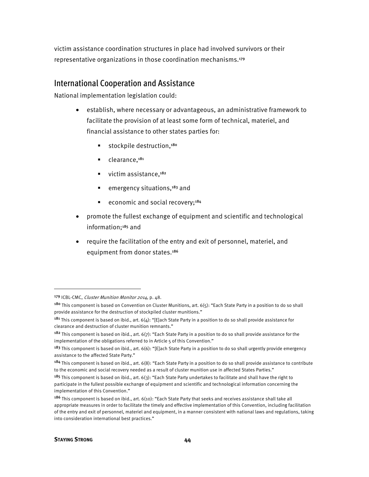victim assistance coordination structures in place had involved survivors or their representative organizations in those coordination mechanisms.<sup>179</sup>

### International Cooperation and Assistance

National implementation legislation could:

- establish, where necessary or advantageous, an administrative framework to facilitate the provision of at least some form of technical, materiel, and financial assistance to other states parties for:
	- $\blacksquare$  stockpile destruction,<sup>180</sup>
	- $\blacksquare$  clearance,  $181$
	- $\blacksquare$  victim assistance, $182$
	- **emergency situations,**<sup>183</sup> and
	- economic and social recovery; $184$
- promote the fullest exchange of equipment and scientific and technological information;<sup>185</sup> and
- require the facilitation of the entry and exit of personnel, materiel, and equipment from donor states.<sup>186</sup>

 $\overline{\phantom{a}}$ 

<sup>179</sup> ICBL-CMC, Cluster Munition Monitor 2014, p. 48.

<sup>&</sup>lt;sup>180</sup> This component is based on Convention on Cluster Munitions, art. 6(5): "Each State Party in a position to do so shall provide assistance for the destruction of stockpiled cluster munitions."

<sup>&</sup>lt;sup>181</sup> This component is based on ibid., art.  $6(4)$ : "[E]ach State Party in a position to do so shall provide assistance for clearance and destruction of cluster munition remnants."

<sup>&</sup>lt;sup>182</sup> This component is based on ibid., art.  $6(7)$ : "Each State Party in a position to do so shall provide assistance for the implementation of the obligations referred to in Article 5 of this Convention."

<sup>&</sup>lt;sup>183</sup> This component is based on ibid., art. 6(6): "[E]ach State Party in a position to do so shall urgently provide emergency assistance to the affected State Party."

 $184$  This component is based on ibid., art.  $6(8)$ : "Each State Party in a position to do so shall provide assistance to contribute to the economic and social recovery needed as a result of cluster munition use in affected States Parties."

<sup>&</sup>lt;sup>185</sup> This component is based on ibid., art. 6(3): "Each State Party undertakes to facilitate and shall have the right to participate in the fullest possible exchange of equipment and scientific and technological information concerning the implementation of this Convention."

<sup>&</sup>lt;sup>186</sup> This component is based on ibid., art.  $6(10)$ : "Each State Party that seeks and receives assistance shall take all appropriate measures in order to facilitate the timely and effective implementation of this Convention, including facilitation of the entry and exit of personnel, materiel and equipment, in a manner consistent with national laws and regulations, taking into consideration international best practices."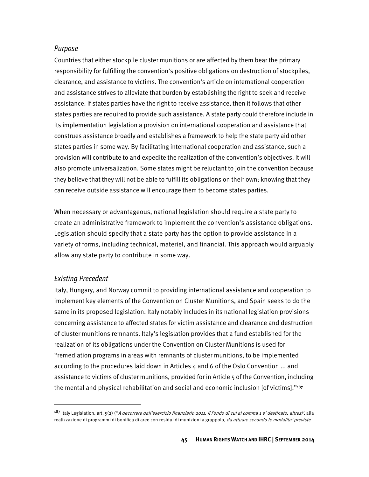### Purpose

Countries that either stockpile cluster munitions or are affected by them bear the primary responsibility for fulfilling the convention's positive obligations on destruction of stockpiles, clearance, and assistance to victims. The convention's article on international cooperation and assistance strives to alleviate that burden by establishing the right to seek and receive assistance. If states parties have the right to receive assistance, then it follows that other states parties are required to provide such assistance. A state party could therefore include in its implementation legislation a provision on international cooperation and assistance that construes assistance broadly and establishes a framework to help the state party aid other states parties in some way. By facilitating international cooperation and assistance, such a provision will contribute to and expedite the realization of the convention's objectives. It will also promote universalization. Some states might be reluctant to join the convention because they believe that they will not be able to fulfill its obligations on their own; knowing that they can receive outside assistance will encourage them to become states parties.

When necessary or advantageous, national legislation should require a state party to create an administrative framework to implement the convention's assistance obligations. Legislation should specify that a state party has the option to provide assistance in a variety of forms, including technical, materiel, and financial. This approach would arguably allow any state party to contribute in some way.

### Existing Precedent

**.** 

Italy, Hungary, and Norway commit to providing international assistance and cooperation to implement key elements of the Convention on Cluster Munitions, and Spain seeks to do the same in its proposed legislation. Italy notably includes in its national legislation provisions concerning assistance to affected states for victim assistance and clearance and destruction of cluster munitions remnants. Italy's legislation provides that a fund established for the realization of its obligations under the Convention on Cluster Munitions is used for "remediation programs in areas with remnants of cluster munitions, to be implemented according to the procedures laid down in Articles 4 and 6 of the Oslo Convention ... and assistance to victims of cluster munitions, provided for in Article 5 of the Convention, including the mental and physical rehabilitation and social and economic inclusion [of victims]."<sup>187</sup>

<sup>187</sup> Italy Legislation, art. 5(2) ("A decorrere dall'esercizio finanziario 2011, il Fondo di cui al comma 1 e' destinato, altresi', alla realizzazione di programmi di bonifica di aree con residui di munizioni a grappolo, da attuare secondo le modalita' previste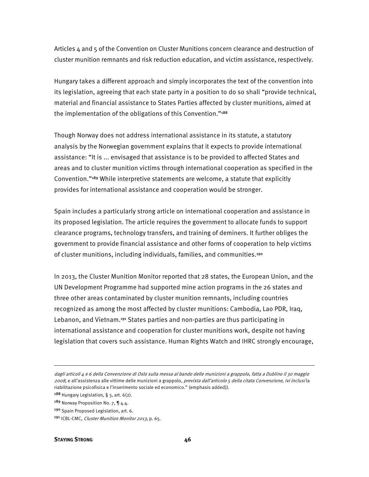Articles  $4$  and 5 of the Convention on Cluster Munitions concern clearance and destruction of cluster munition remnants and risk reduction education, and victim assistance, respectively.

Hungary takes a different approach and simply incorporates the text of the convention into its legislation, agreeing that each state party in a position to do so shall "provide technical, material and financial assistance to States Parties affected by cluster munitions, aimed at the implementation of the obligations of this Convention."<sup>188</sup>

Though Norway does not address international assistance in its statute, a statutory analysis by the Norwegian government explains that it expects to provide international assistance: "It is ... envisaged that assistance is to be provided to affected States and areas and to cluster munition victims through international cooperation as specified in the Convention."<sup>189</sup> While interpretive statements are welcome, a statute that explicitly provides for international assistance and cooperation would be stronger.

Spain includes a particularly strong article on international cooperation and assistance in its proposed legislation. The article requires the government to allocate funds to support clearance programs, technology transfers, and training of deminers. It further obliges the government to provide financial assistance and other forms of cooperation to help victims of cluster munitions, including individuals, families, and communities.<sup>190</sup>

In 2013, the Cluster Munition Monitor reported that 28 states, the European Union, and the UN Development Programme had supported mine action programs in the 26 states and three other areas contaminated by cluster munition remnants, including countries recognized as among the most affected by cluster munitions: Cambodia, Lao PDR, Iraq, Lebanon, and Vietnam.<sup>191</sup> States parties and non-parties are thus participating in international assistance and cooperation for cluster munitions work, despite not having legislation that covers such assistance. Human Rights Watch and IHRC strongly encourage,

190 Spain Proposed Legislation, art. 6.

**.** 

dagli articoli 4 e 6 della Convenzione di Oslo sulla messa al bando delle munizioni a grappolo, fatta a Dublino il 30 maggio 2008, e all'assistenza alle vittime delle munizioni a grappolo, prevista dall'articolo 5 della citata Convenzione, ivi inclusi la riabilitazione psicofisica e l'inserimento sociale ed economico." (emphasis added)).

<sup>&</sup>lt;sup>188</sup> Hungary Legislation, § 3, art.  $6(2)$ .

<sup>189</sup> Norway Proposition No. 7, 1 4.4.

<sup>191</sup> ICBL-CMC, Cluster Munition Monitor 2013, p. 65.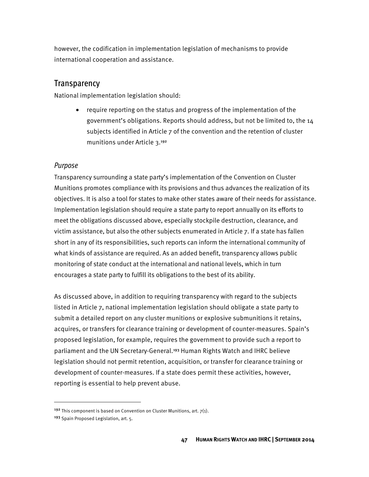however, the codification in implementation legislation of mechanisms to provide international cooperation and assistance.

## **Transparency**

National implementation legislation should:

• require reporting on the status and progress of the implementation of the government's obligations. Reports should address, but not be limited to, the 14 subjects identified in Article 7 of the convention and the retention of cluster munitions under Article 3.<sup>192</sup>

### Purpose

Transparency surrounding a state party's implementation of the Convention on Cluster Munitions promotes compliance with its provisions and thus advances the realization of its objectives. It is also a tool for states to make other states aware of their needs for assistance. Implementation legislation should require a state party to report annually on its efforts to meet the obligations discussed above, especially stockpile destruction, clearance, and victim assistance, but also the other subjects enumerated in Article 7. If a state has fallen short in any of its responsibilities, such reports can inform the international community of what kinds of assistance are required. As an added benefit, transparency allows public monitoring of state conduct at the international and national levels, which in turn encourages a state party to fulfill its obligations to the best of its ability.

As discussed above, in addition to requiring transparency with regard to the subjects listed in Article 7, national implementation legislation should obligate a state party to submit a detailed report on any cluster munitions or explosive submunitions it retains, acquires, or transfers for clearance training or development of counter-measures. Spain's proposed legislation, for example, requires the government to provide such a report to parliament and the UN Secretary-General.<sup>193</sup> Human Rights Watch and IHRC believe legislation should not permit retention, acquisition, or transfer for clearance training or development of counter-measures. If a state does permit these activities, however, reporting is essential to help prevent abuse.

l

<sup>&</sup>lt;sup>192</sup> This component is based on Convention on Cluster Munitions, art.  $7(1)$ .

<sup>193</sup> Spain Proposed Legislation, art. 5.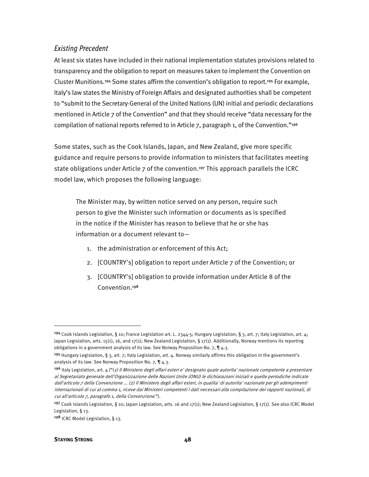### Existing Precedent

At least six states have included in their national implementation statutes provisions related to transparency and the obligation to report on measures taken to implement the Convention on Cluster Munitions.<sup>194</sup> Some states affirm the convention's obligation to report.<sup>195</sup> For example, Italy's law states the Ministry of Foreign Affairs and designated authorities shall be competent to "submit to the Secretary-General of the United Nations (UN) initial and periodic declarations mentioned in Article 7 of the Convention" and that they should receive "data necessary for the compilation of national reports referred to in Article 7, paragraph 1, of the Convention."<sup>196</sup>

Some states, such as the Cook Islands, Japan, and New Zealand, give more specific guidance and require persons to provide information to ministers that facilitates meeting state obligations under Article 7 of the convention.<sup>197</sup> This approach parallels the ICRC model law, which proposes the following language:

The Minister may, by written notice served on any person, require such person to give the Minister such information or documents as is specified in the notice if the Minister has reason to believe that he or she has information or a document relevant to—

- 1. the administration or enforcement of this Act;
- 2. [COUNTRY's] obligation to report under Article 7 of the Convention; or
- 3. [COUNTRY's] obligation to provide information under Article 8 of the Convention.<sup>198</sup>

**.** 

<sup>&</sup>lt;sup>194</sup> Cook Islands Legislation, § 10; France Legislation art. L. 2344-5; Hungary Legislation, § 3, art. 7; Italy Legislation, art. 4; Japan Legislation, arts. 15(1), 16, and 17(1); New Zealand Legislation, § 17(1). Additionally, Norway mentions its reporting obligations in a government analysis of its law. See Norway Proposition No. 7, ¶ 4.3.

<sup>&</sup>lt;sup>195</sup> Hungary Legislation, § 3, art. 7; Italy Legislation, art. 4. Norway similarly affirms this obligation in the government's analysis of its law. See Norway Proposition No. 7, ¶ 4.3.

<sup>196</sup> Italy Legislation, art. 4 ("(1) Il Ministero degli affari esteri e' designato quale autorita' nazionale competente a presentare al Segretariato generale dell'Organizzazione delle Nazioni Unite (ONU) le dichiarazioni iniziali e quelle periodiche indicate dall'articolo 7 della Convenzione ... (2) Il Ministero degli affari esteri, in qualita' di autorita' nazionale per gli adempimenti internazionali di cui al comma 1, riceve dai Ministeri competenti i dati necessari alla compilazione dei rapporti nazionali, di cui all'articolo 7, paragrafo 1, della Convenzione.").

<sup>&</sup>lt;sup>197</sup> Cook Islands Legislation, § 10; Japan Legislation, arts. 16 and 17(1); New Zealand Legislation, § 17(1). See also ICRC Model Legislation, § 13.

<sup>198</sup> ICRC Model Legislation, § 13.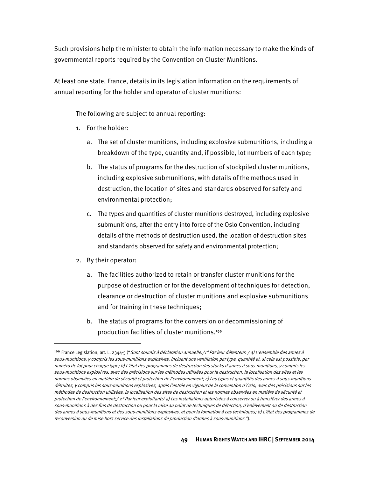Such provisions help the minister to obtain the information necessary to make the kinds of governmental reports required by the Convention on Cluster Munitions.

At least one state, France, details in its legislation information on the requirements of annual reporting for the holder and operator of cluster munitions:

The following are subject to annual reporting:

- 1. For the holder:
	- a. The set of cluster munitions, including explosive submunitions, including a breakdown of the type, quantity and, if possible, lot numbers of each type;
	- b. The status of programs for the destruction of stockpiled cluster munitions, including explosive submunitions, with details of the methods used in destruction, the location of sites and standards observed for safety and environmental protection;
	- c. The types and quantities of cluster munitions destroyed, including explosive submunitions, after the entry into force of the Oslo Convention, including details of the methods of destruction used, the location of destruction sites and standards observed for safety and environmental protection;
- 2. By their operator:

**.** 

- a. The facilities authorized to retain or transfer cluster munitions for the purpose of destruction or for the development of techniques for detection, clearance or destruction of cluster munitions and explosive submunitions and for training in these techniques;
- b. The status of programs for the conversion or decommissioning of production facilities of cluster munitions.<sup>199</sup>

<sup>199</sup> France Legislation, art. L. 2344-5 ("Sont soumis à déclaration annuelle:/1º Par leur détenteur: / a) L'ensemble des armes à sous-munitions, y compris les sous-munitions explosives, incluant une ventilation par type, quantité et, si cela est possible, par numéro de lot pour chaque type; b) L'état des programmes de destruction des stocks d'armes à sous-munitions, y compris les sous-munitions explosives, avec des précisions sur les méthodes utilisées pour la destruction, la localisation des sites et les normes observées en matière de sécurité et protection de l'environnement; c) Les types et quantités des armes à sous-munitions détruites, y compris les sous-munitions explosives, après l'entrée en vigueur de la convention d'Oslo, avec des précisions sur les méthodes de destruction utilisées, la localisation des sites de destruction et les normes observées en matière de sécurité et protection de l'environnement;/ 2° Par leur exploitant:/ a) Les installations autorisées à conserver ou à transférer des armes à sous-munitions à des fins de destruction ou pour la mise au point de techniques de détection, d'enlèvement ou de destruction des armes à sous-munitions et des sous-munitions explosives, et pour la formation à ces techniques; b) L'état des programmes de reconversion ou de mise hors service des installations de production d'armes à sous-munitions.").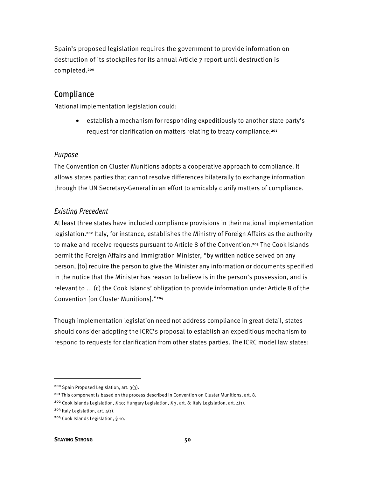Spain's proposed legislation requires the government to provide information on destruction of its stockpiles for its annual Article 7 report until destruction is completed.<sup>200</sup>

## Compliance

National implementation legislation could:

• establish a mechanism for responding expeditiously to another state party's request for clarification on matters relating to treaty compliance.<sup>201</sup>

### Purpose

The Convention on Cluster Munitions adopts a cooperative approach to compliance. It allows states parties that cannot resolve differences bilaterally to exchange information through the UN Secretary-General in an effort to amicably clarify matters of compliance.

### Existing Precedent

At least three states have included compliance provisions in their national implementation legislation.<sup>202</sup> Italy, for instance, establishes the Ministry of Foreign Affairs as the authority to make and receive requests pursuant to Article 8 of the Convention.<sup>203</sup> The Cook Islands permit the Foreign Affairs and Immigration Minister, "by written notice served on any person, [to] require the person to give the Minister any information or documents specified in the notice that the Minister has reason to believe is in the person's possession, and is relevant to ... (c) the Cook Islands' obligation to provide information under Article 8 of the Convention [on Cluster Munitions]."<sup>204</sup>

Though implementation legislation need not address compliance in great detail, states should consider adopting the ICRC's proposal to establish an expeditious mechanism to respond to requests for clarification from other states parties. The ICRC model law states:

<sup>200</sup> Spain Proposed Legislation, art. 3(3).

<sup>&</sup>lt;sup>201</sup> This component is based on the process described in Convention on Cluster Munitions, art. 8.

<sup>202</sup> Cook Islands Legislation, § 10; Hungary Legislation, § 3, art. 8; Italy Legislation, art. 4(1).

 $203$  Italy Legislation, art.  $4(1)$ .

<sup>204</sup> Cook Islands Legislation, § 10.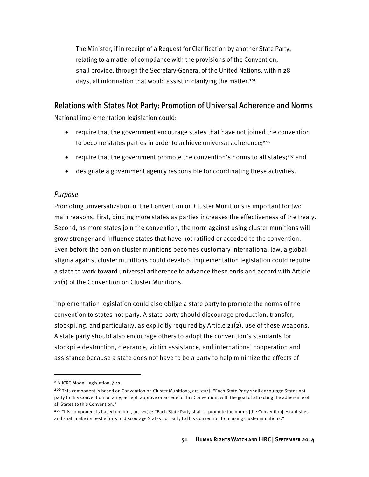The Minister, if in receipt of a Request for Clarification by another State Party, relating to a matter of compliance with the provisions of the Convention, shall provide, through the Secretary-General of the United Nations, within 28 days, all information that would assist in clarifying the matter.<sup>205</sup>

## Relations with States Not Party: Promotion of Universal Adherence and Norms

National implementation legislation could:

- require that the government encourage states that have not joined the convention to become states parties in order to achieve universal adherence;<sup>206</sup>
- require that the government promote the convention's norms to all states;<sup>207</sup> and
- designate a government agency responsible for coordinating these activities.

#### Purpose

Promoting universalization of the Convention on Cluster Munitions is important for two main reasons. First, binding more states as parties increases the effectiveness of the treaty. Second, as more states join the convention, the norm against using cluster munitions will grow stronger and influence states that have not ratified or acceded to the convention. Even before the ban on cluster munitions becomes customary international law, a global stigma against cluster munitions could develop. Implementation legislation could require a state to work toward universal adherence to advance these ends and accord with Article 21(1) of the Convention on Cluster Munitions.

Implementation legislation could also oblige a state party to promote the norms of the convention to states not party. A state party should discourage production, transfer, stockpiling, and particularly, as explicitly required by Article 21(2), use of these weapons. A state party should also encourage others to adopt the convention's standards for stockpile destruction, clearance, victim assistance, and international cooperation and assistance because a state does not have to be a party to help minimize the effects of

<sup>205</sup> ICRC Model Legislation, § 12.

<sup>206</sup> This component is based on Convention on Cluster Munitions, art. 21(1): "Each State Party shall encourage States not party to this Convention to ratify, accept, approve or accede to this Convention, with the goal of attracting the adherence of all States to this Convention."

<sup>&</sup>lt;sup>207</sup> This component is based on ibid., art. 21(2): "Each State Party shall ... promote the norms [the Convention] establishes and shall make its best efforts to discourage States not party to this Convention from using cluster munitions."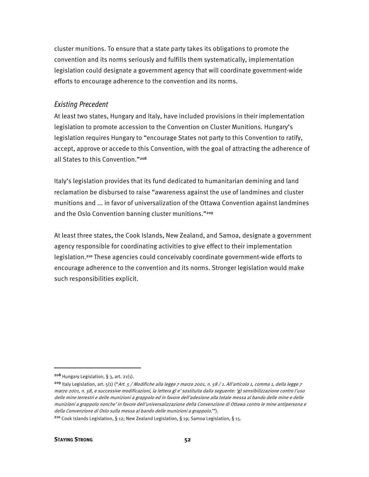cluster munitions. To ensure that a state party takes its obligations to promote the convention and its norms seriously and fulfills them systematically, implementation legislation could designate a government agency that will coordinate government-wide efforts to encourage adherence to the convention and its norms.

#### Existing Precedent

At least two states, Hungary and Italy, have included provisions in their implementation legislation to promote accession to the Convention on Cluster Munitions. Hungary's legislation requires Hungary to "encourage States not party to this Convention to ratify, accept, approve or accede to this Convention, with the goal of attracting the adherence of all States to this Convention."<sup>208</sup>

Italy's legislation provides that its fund dedicated to humanitarian demining and land reclamation be disbursed to raise "awareness against the use of landmines and cluster munitions and ... in favor of universalization of the Ottawa Convention against landmines and the Oslo Convention banning cluster munitions."<sup>209</sup>

At least three states, the Cook Islands, New Zealand, and Samoa, designate a government agency responsible for coordinating activities to give effect to their implementation legislation.<sup>210</sup> These agencies could conceivably coordinate government-wide efforts to encourage adherence to the convention and its norms. Stronger legislation would make such responsibilities explicit.

<sup>208</sup> Hungary Legislation, § 3, art. 21(1).

<sup>&</sup>lt;sup>209</sup> Italy Legislation, art. 5(1) ("Art. 5 / Modifiche alla legge 7 marzo 2001, n. 58 / 1. All'articolo 1, comma 1, della legge 7 marzo 2001, n. 58, e successive modificazioni, la lettera g) e' sostituita dalla seguente: 'g) sensibilizzazione contro l'uso delle mine terrestri e delle munizioni a grappolo ed in favore dell'adesione alla totale messa al bando delle mine e delle munizioni a grappolo nonche' in favore dell'universalizzazione della Convenzione di Ottawa contro le mine antipersona e della Convenzione di Oslo sulla messa al bando delle munizioni a grappolo.'").

<sup>210</sup> Cook Islands Legislation, § 12; New Zealand Legislation, § 19; Samoa Legislation, § 15.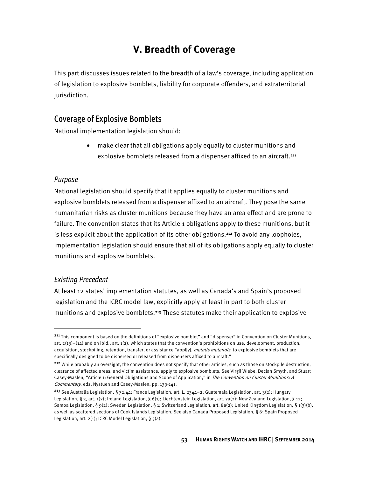# **V. Breadth of Coverage**

This part discusses issues related to the breadth of a law's coverage, including application of legislation to explosive bomblets, liability for corporate offenders, and extraterritorial jurisdiction.

## Coverage of Explosive Bomblets

National implementation legislation should:

• make clear that all obligations apply equally to cluster munitions and explosive bomblets released from a dispenser affixed to an aircraft.<sup>211</sup>

## Purpose

National legislation should specify that it applies equally to cluster munitions and explosive bomblets released from a dispenser affixed to an aircraft. They pose the same humanitarian risks as cluster munitions because they have an area effect and are prone to failure. The convention states that its Article 1 obligations apply to these munitions, but it is less explicit about the application of its other obligations.<sup>212</sup> To avoid any loopholes, implementation legislation should ensure that all of its obligations apply equally to cluster munitions and explosive bomblets.

## Existing Precedent

l

At least 12 states' implementation statutes, as well as Canada's and Spain's proposed legislation and the ICRC model law, explicitly apply at least in part to both cluster munitions and explosive bomblets.<sup>213</sup> These statutes make their application to explosive

<sup>&</sup>lt;sup>211</sup> This component is based on the definitions of "explosive bomblet" and "dispenser" in Convention on Cluster Munitions, art.  $2(13)-(14)$  and on ibid., art.  $1(2)$ , which states that the convention's prohibitions on use, development, production, acquisition, stockpiling, retention, transfer, or assistance "appl[y], *mutatis mutandis*, to explosive bomblets that are specifically designed to be dispersed or released from dispensers affixed to aircraft."

<sup>&</sup>lt;sup>212</sup> While probably an oversight, the convention does not specify that other articles, such as those on stockpile destruction, clearance of affected areas, and victim assistance, apply to explosive bomblets. See Virgil Wiebe, Declan Smyth, and Stuart Casey-Maslen, "Article 1: General Obligations and Scope of Application," in The Convention on Cluster Munitions: A Commentary, eds. Nystuen and Casey-Maslen, pp. 139-141.

<sup>&</sup>lt;sup>213</sup> See Australia Legislation, § 72.44; France Legislation, art. L. 2344-2; Guatemala Legislation, art. 3(2); Hungary Legislation, § 3, art. 1(2); Ireland Legislation, § 6(1); Liechtenstein Legislation, art. 7a(2); New Zealand Legislation, § 12; Samoa Legislation, § 9(2); Sweden Legislation, § 1; Switzerland Legislation, art. 8a(2); United Kingdom Legislation, § 1(3)(b), as well as scattered sections of Cook Islands Legislation. See also Canada Proposed Legislation, § 6; Spain Proposed Legislation, art.  $2(1)$ ; ICRC Model Legislation, §  $3(4)$ .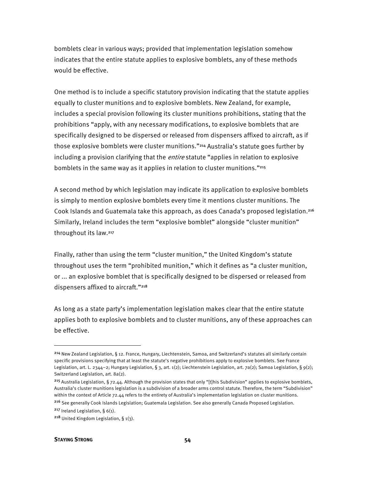bomblets clear in various ways; provided that implementation legislation somehow indicates that the entire statute applies to explosive bomblets, any of these methods would be effective.

One method is to include a specific statutory provision indicating that the statute applies equally to cluster munitions and to explosive bomblets. New Zealand, for example, includes a special provision following its cluster munitions prohibitions, stating that the prohibitions "apply, with any necessary modifications, to explosive bomblets that are specifically designed to be dispersed or released from dispensers affixed to aircraft, as if those explosive bomblets were cluster munitions."<sup>214</sup> Australia's statute goes further by including a provision clarifying that the *entire* statute "applies in relation to explosive bomblets in the same way as it applies in relation to cluster munitions."<sup>215</sup>

A second method by which legislation may indicate its application to explosive bomblets is simply to mention explosive bomblets every time it mentions cluster munitions. The Cook Islands and Guatemala take this approach, as does Canada's proposed legislation.<sup>216</sup> Similarly, Ireland includes the term "explosive bomblet" alongside "cluster munition" throughout its law.<sup>217</sup>

Finally, rather than using the term "cluster munition," the United Kingdom's statute throughout uses the term "prohibited munition," which it defines as "a cluster munition, or ... an explosive bomblet that is specifically designed to be dispersed or released from dispensers affixed to aircraft."<sup>218</sup>

As long as a state party's implementation legislation makes clear that the entire statute applies both to explosive bomblets and to cluster munitions, any of these approaches can be effective.

#### **STAYING STRONG 54**

 $\overline{\phantom{a}}$ 

<sup>214</sup> New Zealand Legislation, § 12. France, Hungary, Liechtenstein, Samoa, and Switzerland's statutes all similarly contain specific provisions specifying that at least the statute's negative prohibitions apply to explosive bomblets. See France Legislation, art. L. 2344–2; Hungary Legislation, § 3, art. 1(2); Liechtenstein Legislation, art. 7a(2); Samoa Legislation, § 9(2); Switzerland Legislation, art. 8a(2).

<sup>&</sup>lt;sup>215</sup> Australia Legislation, § 72.44. Although the provision states that only "[t]his Subdivision" applies to explosive bomblets, Australia's cluster munitions legislation is a subdivision of a broader arms control statute. Therefore, the term "Subdivision" within the context of Article 72.44 refers to the entirety of Australia's implementation legislation on cluster munitions.

<sup>216</sup> See generally Cook Islands Legislation; Guatemala Legislation. See also generally Canada Proposed Legislation. <sup>217</sup> Ireland Legislation, §  $6(1)$ .

<sup>218</sup> United Kingdom Legislation, § 1(3).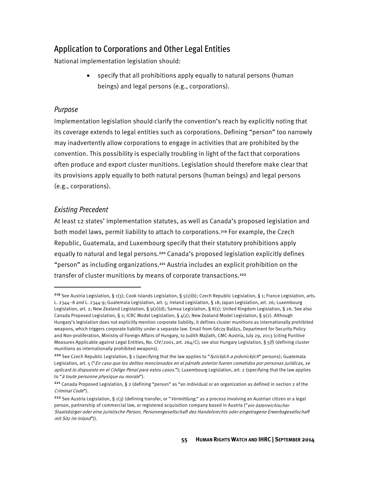## Application to Corporations and Other Legal Entities

National implementation legislation should:

• specify that all prohibitions apply equally to natural persons (human beings) and legal persons (e.g., corporations).

### Purpose

Implementation legislation should clarify the convention's reach by explicitly noting that its coverage extends to legal entities such as corporations. Defining "person" too narrowly may inadvertently allow corporations to engage in activities that are prohibited by the convention. This possibility is especially troubling in light of the fact that corporations often produce and export cluster munitions. Legislation should therefore make clear that its provisions apply equally to both natural persons (human beings) and legal persons (e.g., corporations).

## Existing Precedent

 $\overline{\phantom{a}}$ 

At least 12 states' implementation statutes, as well as Canada's proposed legislation and both model laws, permit liability to attach to corporations.<sup>219</sup> For example, the Czech Republic, Guatemala, and Luxembourg specify that their statutory prohibitions apply equally to natural and legal persons.<sup>220</sup> Canada's proposed legislation explicitly defines "person" as including organizations.<sup>221</sup> Austria includes an explicit prohibition on the transfer of cluster munitions by means of corporate transactions.<sup>222</sup>

<sup>&</sup>lt;sup>219</sup> See Austria Legislation, § 1(3); Cook Islands Legislation, § 5(1)(b); Czech Republic Legislation, § 1; France Legislation, arts. L. 2344–8 and L. 2344-9; Guatemala Legislation, art. 5; Ireland Legislation, § 18; Japan Legislation, art. 26; Luxembourg Legislation, art. 2; New Zealand Legislation, § 9(2)(d); Samoa Legislation, § 8(1); United Kingdom Legislation, § 26. See also Canada Proposed Legislation, § 2; ICRC Model Legislation, § 4(2); New Zealand Model Legislation, § 9(2). Although Hungary's legislation does not explicitly mention corporate liability, it defines cluster munitions as internationally prohibited weapons, which triggers corporate liability under a separate law. Email from Géczy Balázs, Department for Security Policy and Non-proliferation, Ministry of Foreign Affairs of Hungary, to Judith Majlath, CMC-Austria, July 29, 2013 (citing Punitive Measures Applicable against Legal Entities, No. CIV/2001, art. 264/C); see also Hungary Legislation, § 5(f) (defining cluster munitions as internationally prohibited weapons).

<sup>&</sup>lt;sup>220</sup> See Czech Republic Legislation, § 1 (specifying that the law applies to "fyzických a právnických" persons); Guatemala Legislation, art. 5 ("En caso que los delitos mencionados en el párrafo anterior fueren cometidos por personas jurídicas, se aplicará lo dispuesto en el Código Penal para estos casos."); Luxembourg Legislation, art. 2 (specifying that the law applies to "à toute personne physique ou morale").

<sup>221</sup> Canada Proposed Legislation, § 2 (defining "person" as "an individual or an organization as defined in section 2 of the Criminal Code").

<sup>&</sup>lt;sup>222</sup> See Austria Legislation, § 1(3) (defining transfer, or "Vermittlung," as a process involving an Austrian citizen or a legal person, partnership of commercial law, or registered acquisition company based in Austria ("ein österreichischer Staatsbürger oder eine juristische Person, Personengesellschaft des Handelsrechts oder eingetragene Erwerbsgesellschaft mit Sitz im Inland")).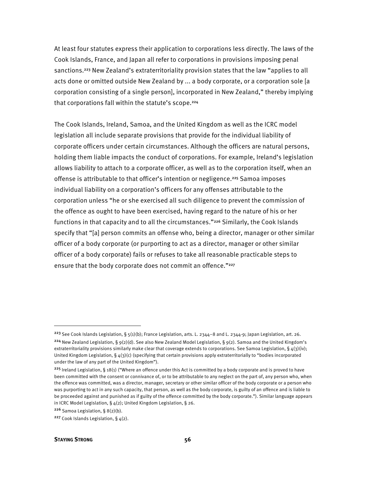At least four statutes express their application to corporations less directly. The laws of the Cook Islands, France, and Japan all refer to corporations in provisions imposing penal sanctions.<sup>223</sup> New Zealand's extraterritoriality provision states that the law "applies to all acts done or omitted outside New Zealand by ... a body corporate, or a corporation sole [a corporation consisting of a single person], incorporated in New Zealand," thereby implying that corporations fall within the statute's scope.<sup>224</sup>

The Cook Islands, Ireland, Samoa, and the United Kingdom as well as the ICRC model legislation all include separate provisions that provide for the individual liability of corporate officers under certain circumstances. Although the officers are natural persons, holding them liable impacts the conduct of corporations. For example, Ireland's legislation allows liability to attach to a corporate officer, as well as to the corporation itself, when an offense is attributable to that officer's intention or negligence.<sup>225</sup> Samoa imposes individual liability on a corporation's officers for any offenses attributable to the corporation unless "he or she exercised all such diligence to prevent the commission of the offence as ought to have been exercised, having regard to the nature of his or her functions in that capacity and to all the circumstances."<sup>226</sup> Similarly, the Cook Islands specify that "[a] person commits an offense who, being a director, manager or other similar officer of a body corporate (or purporting to act as a director, manager or other similar officer of a body corporate) fails or refuses to take all reasonable practicable steps to ensure that the body corporate does not commit an offence."227

 $\overline{\phantom{a}}$ 

<sup>&</sup>lt;sup>223</sup> See Cook Islands Legislation, § 5(1)(b); France Legislation, arts. L. 2344–8 and L. 2344-9; Japan Legislation, art. 26. <sup>224</sup> New Zealand Legislation, §  $9(2)(d)$ . See also New Zealand Model Legislation, §  $9(2)$ . Samoa and the United Kingdom's extraterritoriality provisions similarly make clear that coverage extends to corporations. See Samoa Legislation, §  $4(3)(iv)$ ; United Kingdom Legislation, § 4(3)(c) (specifying that certain provisions apply extraterritorially to "bodies incorporated under the law of any part of the United Kingdom").

<sup>&</sup>lt;sup>225</sup> Ireland Legislation, § 18(1) ("Where an offence under this Act is committed by a body corporate and is proved to have been committed with the consent or connivance of, or to be attributable to any neglect on the part of, any person who, when the offence was committed, was a director, manager, secretary or other similar officer of the body corporate or a person who was purporting to act in any such capacity, that person, as well as the body corporate, is guilty of an offence and is liable to be proceeded against and punished as if guilty of the offence committed by the body corporate."). Similar language appears in ICRC Model Legislation, § 4(2); United Kingdom Legislation, § 26.

 $226$  Samoa Legislation, § 8(2)(b).

<sup>&</sup>lt;sup>227</sup> Cook Islands Legislation, §  $4(2)$ .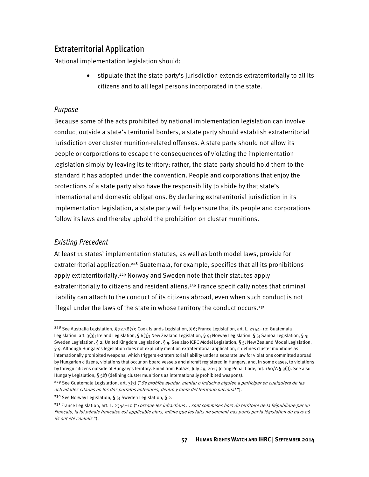## Extraterritorial Application

National implementation legislation should:

• stipulate that the state party's jurisdiction extends extraterritorially to all its citizens and to all legal persons incorporated in the state.

### Purpose

Because some of the acts prohibited by national implementation legislation can involve conduct outside a state's territorial borders, a state party should establish extraterritorial jurisdiction over cluster munition-related offenses. A state party should not allow its people or corporations to escape the consequences of violating the implementation legislation simply by leaving its territory; rather, the state party should hold them to the standard it has adopted under the convention. People and corporations that enjoy the protections of a state party also have the responsibility to abide by that state's international and domestic obligations. By declaring extraterritorial jurisdiction in its implementation legislation, a state party will help ensure that its people and corporations follow its laws and thereby uphold the prohibition on cluster munitions.

### Existing Precedent

 $\overline{\phantom{a}}$ 

At least 11 states' implementation statutes, as well as both model laws, provide for extraterritorial application.<sup>228</sup> Guatemala, for example, specifies that all its prohibitions apply extraterritorially.<sup>229</sup> Norway and Sweden note that their statutes apply extraterritorially to citizens and resident aliens.<sup>230</sup> France specifically notes that criminal liability can attach to the conduct of its citizens abroad, even when such conduct is not illegal under the laws of the state in whose territory the conduct occurs.<sup>231</sup>

<sup>230</sup> See Norway Legislation, § 5; Sweden Legislation, § 2.

<sup>&</sup>lt;sup>228</sup> See Australia Legislation, § 72.38(3); Cook Islands Legislation, § 6; France Legislation, art. L. 2344–10; Guatemala Legislation, art. 3(3); Ireland Legislation, § 6(3); New Zealand Legislation, § 9; Norway Legislation, § 5; Samoa Legislation, § 4; Sweden Legislation, § 2; United Kingdom Legislation, § 4. See also ICRC Model Legislation, § 5; New Zealand Model Legislation, § 9. Although Hungary's legislation does not explicitly mention extraterritorial application, it defines cluster munitions as internationally prohibited weapons, which triggers extraterritorial liability under a separate law for violations committed abroad by Hungarian citizens, violations that occur on board vessels and aircraft registered in Hungary, and, in some cases, to violations by foreign citizens outside of Hungary's territory. Email from Balázs, July 29, 2013 (citing Penal Code, art. 160/A § 3(f)). See also Hungary Legislation, § 5(f) (defining cluster munitions as internationally prohibited weapons).

<sup>&</sup>lt;sup>229</sup> See Guatemala Legislation, art. 3(3) ("Se prohíbe ayudar, alentar o inducir a alguien a participar en cualquiera de las actividades citadas en los dos párrafos anteriores, dentro y fuera del territorio nacional.").

 $^{231}$  France Legislation, art. L. 2344-10 ("Lorsque les infractions ... sont commises hors du territoire de la République par un Français, la loi pénale française est applicable alors, même que les faits ne seraient pas punis par la législation du pays où ils ont été commis.").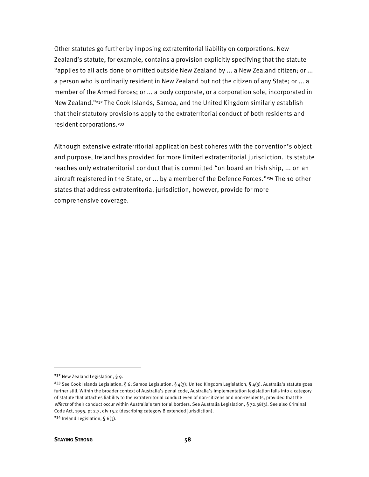Other statutes go further by imposing extraterritorial liability on corporations. New Zealand's statute, for example, contains a provision explicitly specifying that the statute "applies to all acts done or omitted outside New Zealand by ... a New Zealand citizen; or ... a person who is ordinarily resident in New Zealand but not the citizen of any State; or ... a member of the Armed Forces; or ... a body corporate, or a corporation sole, incorporated in New Zealand."<sup>232</sup> The Cook Islands, Samoa, and the United Kingdom similarly establish that their statutory provisions apply to the extraterritorial conduct of both residents and resident corporations.<sup>233</sup>

Although extensive extraterritorial application best coheres with the convention's object and purpose, Ireland has provided for more limited extraterritorial jurisdiction. Its statute reaches only extraterritorial conduct that is committed "on board an Irish ship, ... on an aircraft registered in the State, or ... by a member of the Defence Forces."<sup>234</sup> The 10 other states that address extraterritorial jurisdiction, however, provide for more comprehensive coverage.

l

<sup>232</sup> New Zealand Legislation, § 9.

<sup>&</sup>lt;sup>233</sup> See Cook Islands Legislation, § 6; Samoa Legislation, § 4(3); United Kingdom Legislation, § 4(3). Australia's statute goes further still. Within the broader context of Australia's penal code, Australia's implementation legislation falls into a category of statute that attaches liability to the extraterritorial conduct even of non-citizens and non-residents, provided that the effects of their conduct occur within Australia's territorial borders. See Australia Legislation, § 72.38(3). See also Criminal Code Act, 1995, pt 2.7, div 15.2 (describing category B extended jurisdiction). <sup>234</sup> Ireland Legislation, § 6(3).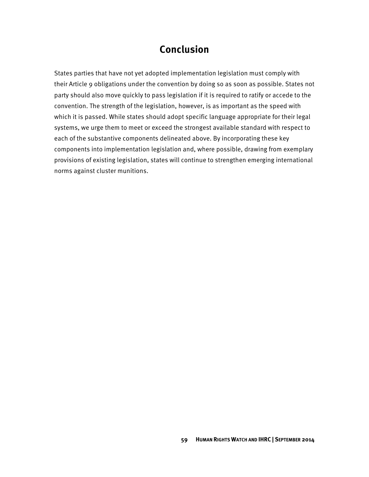# **Conclusion**

States parties that have not yet adopted implementation legislation must comply with their Article 9 obligations under the convention by doing so as soon as possible. States not party should also move quickly to pass legislation if it is required to ratify or accede to the convention. The strength of the legislation, however, is as important as the speed with which it is passed. While states should adopt specific language appropriate for their legal systems, we urge them to meet or exceed the strongest available standard with respect to each of the substantive components delineated above. By incorporating these key components into implementation legislation and, where possible, drawing from exemplary provisions of existing legislation, states will continue to strengthen emerging international norms against cluster munitions.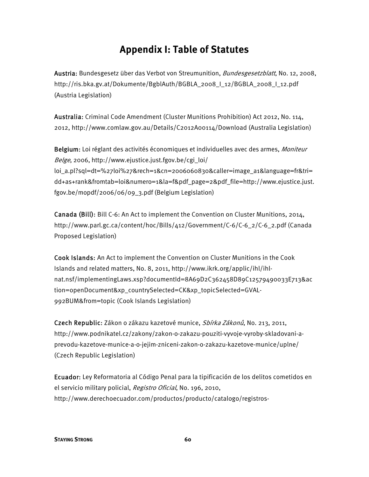# **Appendix I: Table of Statutes**

Austria: Bundesgesetz über das Verbot von Streumunition, *Bundesgesetzblatt*, No. 12, 2008, http://ris.bka.gv.at/Dokumente/BgblAuth/BGBLA\_2008\_I\_12/BGBLA\_2008\_I\_12.pdf (Austria Legislation)

Australia: Criminal Code Amendment (Cluster Munitions Prohibition) Act 2012, No. 114, 2012, http://www.comlaw.gov.au/Details/C2012A00114/Download (Australia Legislation)

Belgium: Loi réglant des activités économiques et individuelles avec des armes, Moniteur  $Belge, 2006, http://www.ejustice.iust.fgov.be/cgi-loi/$ loi\_a.pl?sql=dt=%27loi%27&rech=1&cn=2006060830&caller=image\_a1&language=fr&tri= dd+as+rank&fromtab=loi&numero=1&la=f&pdf\_page=2&pdf\_file=http://www.ejustice.just. fgov.be/mopdf/2006/06/09\_3.pdf (Belgium Legislation)

Canada (Bill): Bill C-6: An Act to implement the Convention on Cluster Munitions, 2014, http://www.parl.gc.ca/content/hoc/Bills/412/Government/C-6/C-6\_2/C-6\_2.pdf (Canada Proposed Legislation)

Cook Islands: An Act to implement the Convention on Cluster Munitions in the Cook Islands and related matters, No. 8, 2011, http://www.ikrk.org/applic/ihl/ihlnat.nsf/implementingLaws.xsp?documentId=8A69D2C362458D89C12579490033E713&ac tion=openDocument&xp\_countrySelected=CK&xp\_topicSelected=GVAL-992BUM&from=topic (Cook Islands Legislation)

Czech Republic: Zákon o zákazu kazetové munice, *Sbírka Zákonů*, No. 213, 2011, http://www.podnikatel.cz/zakony/zakon-o-zakazu-pouziti-vyvoje-vyroby-skladovani-aprevodu-kazetove-munice-a-o-jejim-zniceni-zakon-o-zakazu-kazetove-munice/uplne/ (Czech Republic Legislation)

Ecuador: Ley Reformatoria al Código Penal para la tipificación de los delitos cometidos en el servicio military policial, Registro Oficial, No. 196, 2010, http://www.derechoecuador.com/productos/producto/catalogo/registros-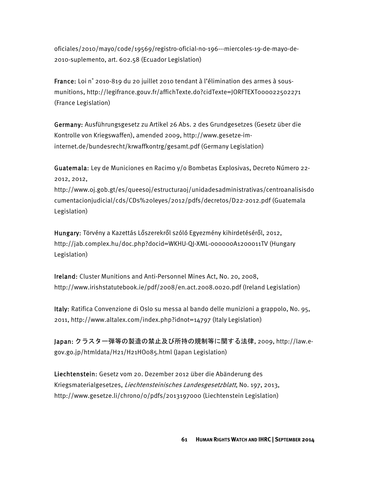oficiales/2010/mayo/code/19569/registro-oficial-no-196---miercoles-19-de-mayo-de-2010-suplemento, art. 602.58 (Ecuador Legislation)

France: Loi n˚ 2010-819 du 20 juillet 2010 tendant à l'élimination des armes à sousmunitions, http://legifrance.gouv.fr/affichTexte.do?cidTexte=JORFTEXT000022502271 (France Legislation)

Germany: Ausführungsgesetz zu Artikel 26 Abs. 2 des Grundgesetzes (Gesetz über die Kontrolle von Kriegswaffen), amended 2009, http://www.gesetze-iminternet.de/bundesrecht/krwaffkontrg/gesamt.pdf (Germany Legislation)

Guatemala: Ley de Municiones en Racimo y/o Bombetas Explosivas, Decreto Número 22- 2012, 2012,

http://www.oj.gob.gt/es/queesoj/estructuraoj/unidadesadministrativas/centroanalisisdo cumentacionjudicial/cds/CDs%20leyes/2012/pdfs/decretos/D22-2012.pdf (Guatemala Legislation)

Hungary: Törvény a Kazettás Lőszerekről szóló Egyezmény kihirdetéséről, 2012, http://jab.complex.hu/doc.php?docid=WKHU-QJ-XML-000000A1200011TV (Hungary Legislation)

Ireland: Cluster Munitions and Anti-Personnel Mines Act, No. 20, 2008, http://www.irishstatutebook.ie/pdf/2008/en.act.2008.0020.pdf (Ireland Legislation)

Italy: Ratifica Convenzione di Oslo su messa al bando delle munizioni a grappolo, No. 95, 2011, http://www.altalex.com/index.php?idnot=14797 (Italy Legislation)

Japan: クラスター弾等の製造の禁止及び所持の規制等に関する法律, 2009, http://law.egov.go.jp/htmldata/H21/H21HO085.html (Japan Legislation)

Liechtenstein: Gesetz vom 20. Dezember 2012 über die Abänderung des Kriegsmaterialgesetzes, Liechtensteinisches Landesgesetzblatt, No. 197, 2013, http://www.gesetze.li/chrono/0/pdfs/2013197000 (Liechtenstein Legislation)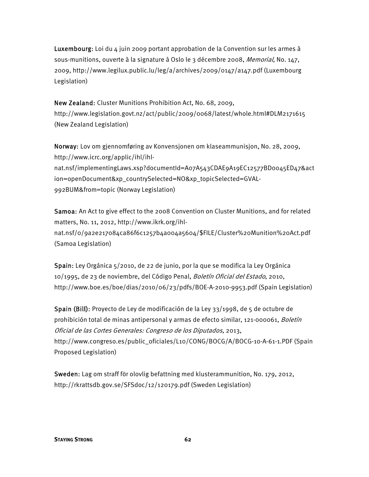**Luxembourg:** Loi du 4 juin 2009 portant approbation de la Convention sur les armes à sous-munitions, ouverte à la signature à Oslo le 3 décembre 2008, Memorial, No. 147, 2009, http://www.legilux.public.lu/leg/a/archives/2009/0147/a147.pdf (Luxembourg Legislation)

New Zealand: Cluster Munitions Prohibition Act, No. 68, 2009, http://www.legislation.govt.nz/act/public/2009/0068/latest/whole.html#DLM2171615 (New Zealand Legislation)

Norway: Lov om gjennomføring av Konvensjonen om klaseammunisjon, No. 28, 2009, http://www.icrc.org/applic/ihl/ihlnat.nsf/implementingLaws.xsp?documentId=A07A543CDAE9A19EC12577BD0045ED47&act ion=openDocument&xp\_countrySelected=NO&xp\_topicSelected=GVAL-992BUM&from=topic (Norway Legislation)

Samoa: An Act to give effect to the 2008 Convention on Cluster Munitions, and for related matters, No. 11, 2012, http://www.ikrk.org/ihlnat.nsf/0/9a2e217084ca86f6c1257b4a004a5604/\$FILE/Cluster%20Munition%20Act.pdf (Samoa Legislation)

Spain: Ley Orgánica 5/2010, de 22 de junio, por la que se modifica la Ley Orgánica 10/1995, de 23 de noviembre, del Código Penal, Boletín Oficial del Estado, 2010, http://www.boe.es/boe/dias/2010/06/23/pdfs/BOE-A-2010-9953.pdf (Spain Legislation)

Spain (Bill): Proyecto de Ley de modificación de la Ley 33/1998, de 5 de octubre de prohibición total de minas antipersonal y armas de efecto similar, 121-000061, Boletín Oficial de las Cortes Generales: Congreso de los Diputados, 2013, http://www.congreso.es/public\_oficiales/L10/CONG/BOCG/A/BOCG-10-A-61-1.PDF (Spain Proposed Legislation)

Sweden: Lag om straff för olovlig befattning med klusterammunition, No. 179, 2012, http://rkrattsdb.gov.se/SFSdoc/12/120179.pdf (Sweden Legislation)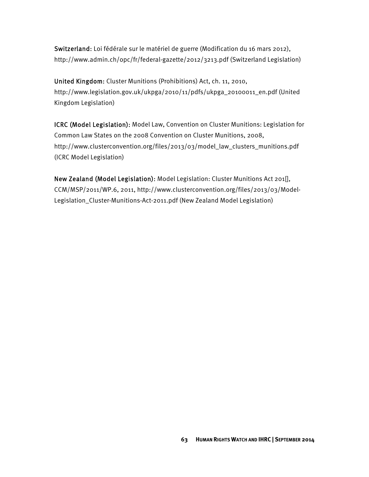Switzerland: Loi fédérale sur le matériel de guerre (Modification du 16 mars 2012), http://www.admin.ch/opc/fr/federal-gazette/2012/3213.pdf (Switzerland Legislation)

United Kingdom: Cluster Munitions (Prohibitions) Act, ch. 11, 2010, http://www.legislation.gov.uk/ukpga/2010/11/pdfs/ukpga\_20100011\_en.pdf (United Kingdom Legislation)

ICRC (Model Legislation): Model Law, Convention on Cluster Munitions: Legislation for Common Law States on the 2008 Convention on Cluster Munitions, 2008, http://www.clusterconvention.org/files/2013/03/model\_law\_clusters\_munitions.pdf (ICRC Model Legislation)

New Zealand (Model Legislation): Model Legislation: Cluster Munitions Act 201[], CCM/MSP/2011/WP.6, 2011, http://www.clusterconvention.org/files/2013/03/Model-Legislation\_Cluster-Munitions-Act-2011.pdf (New Zealand Model Legislation)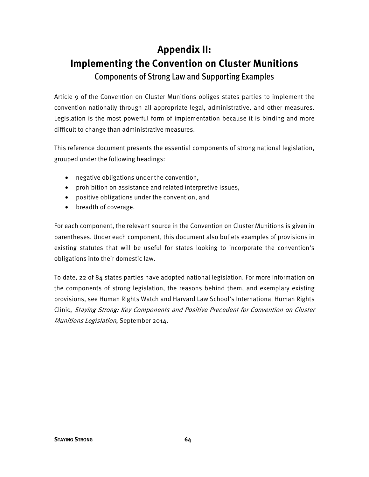# **Appendix II: Implementing the Convention on Cluster Munitions**  Components of Strong Law and Supporting Examples

Article 9 of the Convention on Cluster Munitions obliges states parties to implement the convention nationally through all appropriate legal, administrative, and other measures. Legislation is the most powerful form of implementation because it is binding and more difficult to change than administrative measures.

This reference document presents the essential components of strong national legislation, grouped under the following headings:

- negative obligations under the convention,
- prohibition on assistance and related interpretive issues,
- positive obligations under the convention, and
- breadth of coverage.

For each component, the relevant source in the Convention on Cluster Munitions is given in parentheses. Under each component, this document also bullets examples of provisions in existing statutes that will be useful for states looking to incorporate the convention's obligations into their domestic law.

To date, 22 of 84 states parties have adopted national legislation. For more information on the components of strong legislation, the reasons behind them, and exemplary existing provisions, see Human Rights Watch and Harvard Law School's International Human Rights Clinic, Staying Strong: Key Components and Positive Precedent for Convention on Cluster Munitions Legislation, September 2014.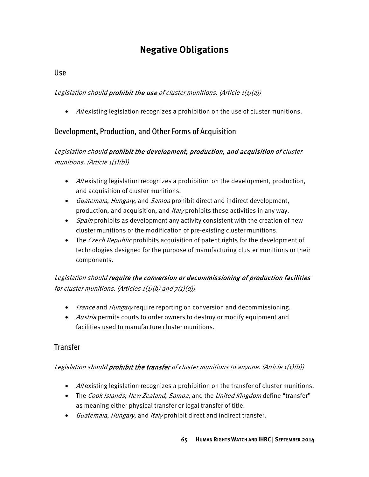# **Negative Obligations**

## Use

### Legislation should **prohibit the use** of cluster munitions. (Article  $1(1)(a)$ )

• Allexisting legislation recognizes a prohibition on the use of cluster munitions.

## Development, Production, and Other Forms of Acquisition

## Legislation should prohibit the development, production, and acquisition of cluster munitions. (Article  $1(1)(b)$ )

- All existing legislation recognizes a prohibition on the development, production, and acquisition of cluster munitions.
- Guatemala, Hungary, and Samoa prohibit direct and indirect development, production, and acquisition, and *Italy* prohibits these activities in any way.
- Spain prohibits as development any activity consistent with the creation of new cluster munitions or the modification of pre-existing cluster munitions.
- The *Czech Republic* prohibits acquisition of patent rights for the development of technologies designed for the purpose of manufacturing cluster munitions or their components.

Legislation should require the conversion or decommissioning of production facilities for cluster munitions. (Articles  $1(1)(b)$  and  $7(1)(d)$ )

- France and Hungary require reporting on conversion and decommissioning.
- Austria permits courts to order owners to destroy or modify equipment and facilities used to manufacture cluster munitions.

## **Transfer**

### Legislation should **prohibit the transfer** of cluster munitions to anyone. (Article  $1(1)(b)$ )

- All existing legislation recognizes a prohibition on the transfer of cluster munitions.
- The *Cook Islands, New Zealand, Samoa,* and the *United Kingdom* define "transfer" as meaning either physical transfer or legal transfer of title.
- Guatemala, Hungary, and Italy prohibit direct and indirect transfer.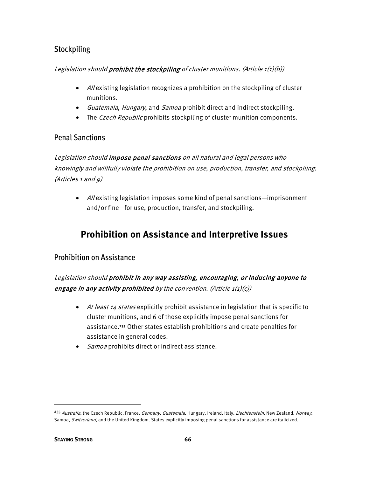## Stockpiling

### Legislation should prohibit the stockpiling of cluster munitions. (Article  $1(1)(b)$ )

- Allexisting legislation recognizes a prohibition on the stockpiling of cluster munitions.
- Guatemala, Hungary, and Samoa prohibit direct and indirect stockpiling.
- The *Czech Republic* prohibits stockpiling of cluster munition components.

## Penal Sanctions

Legislation should impose penal sanctions on all natural and legal persons who knowingly and willfully violate the prohibition on use, production, transfer, and stockpiling. (Articles 1 and 9)

• Allexisting legislation imposes some kind of penal sanctions—imprisonment and/or fine—for use, production, transfer, and stockpiling.

# **Prohibition on Assistance and Interpretive Issues**

## Prohibition on Assistance

Legislation should prohibit in any way assisting, encouraging, or inducing anyone to engage in any activity prohibited by the convention. (Article  $1(1)(c)$ )

- At least 14 states explicitly prohibit assistance in legislation that is specific to cluster munitions, and 6 of those explicitly impose penal sanctions for assistance.<sup>235</sup> Other states establish prohibitions and create penalties for assistance in general codes.
- *Samoa* prohibits direct or indirect assistance.

 $\overline{\phantom{a}}$ 

<sup>&</sup>lt;sup>235</sup> Australia, the Czech Republic, France, Germany, Guatemala, Hungary, Ireland, Italy, Liechtenstein, New Zealand, Norway, Samoa, Switzerland, and the United Kingdom. States explicitly imposing penal sanctions for assistance are italicized.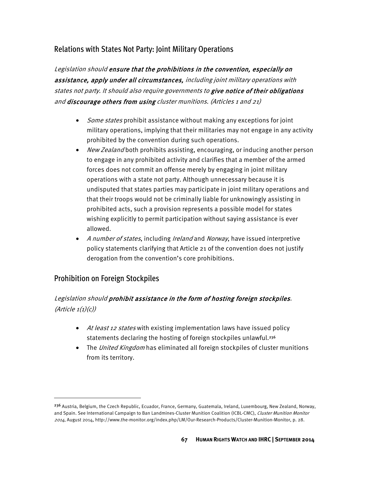## Relations with States Not Party: Joint Military Operations

Legislation should ensure that the prohibitions in the convention, especially on assistance, apply under all circumstances, including joint military operations with states not party. It should also require governments to give notice of their obligations and discourage others from using cluster munitions. (Articles 1 and 21)

- Some states prohibit assistance without making any exceptions for joint military operations, implying that their militaries may not engage in any activity prohibited by the convention during such operations.
- New Zealand both prohibits assisting, encouraging, or inducing another person to engage in any prohibited activity and clarifies that a member of the armed forces does not commit an offense merely by engaging in joint military operations with a state not party. Although unnecessary because it is undisputed that states parties may participate in joint military operations and that their troops would not be criminally liable for unknowingly assisting in prohibited acts, such a provision represents a possible model for states wishing explicitly to permit participation without saying assistance is ever allowed.
- A number of states, including Ireland and Norway, have issued interpretive policy statements clarifying that Article 21 of the convention does not justify derogation from the convention's core prohibitions.

### Prohibition on Foreign Stockpiles

 $\overline{\phantom{a}}$ 

## Legislation should prohibit assistance in the form of hosting foreign stockpiles.  $(Article 1(1)(c))$

- At least 12 states with existing implementation laws have issued policy statements declaring the hosting of foreign stockpiles unlawful.<sup>236</sup>
- The United Kingdom has eliminated all foreign stockpiles of cluster munitions from its territory.

<sup>&</sup>lt;sup>236</sup> Austria, Belgium, the Czech Republic, Ecuador, France, Germany, Guatemala, Ireland, Luxembourg, New Zealand, Norway, and Spain. See International Campaign to Ban Landmines-Cluster Munition Coalition (ICBL-CMC), Cluster Munition Monitor 2014, August 2014, http://www.the-monitor.org/index.php/LM/Our-Research-Products/Cluster-Munition-Monitor, p. 28.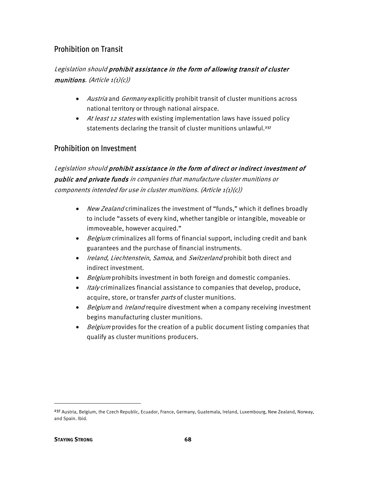# Prohibition on Transit

#### Legislation should prohibit assistance in the form of allowing transit of cluster munitions. (Article  $1(1)(c)$ )

- Austria and Germany explicitly prohibit transit of cluster munitions across national territory or through national airspace.
- At least 12 states with existing implementation laws have issued policy statements declaring the transit of cluster munitions unlawful.<sup>237</sup>

#### Prohibition on Investment

Legislation should prohibit assistance in the form of direct or indirect investment of public and private funds in companies that manufacture cluster munitions or components intended for use in cluster munitions. (Article  $1(1)(c)$ )

- New Zealand criminalizes the investment of "funds," which it defines broadly to include "assets of every kind, whether tangible or intangible, moveable or immoveable, however acquired."
- Belgium criminalizes all forms of financial support, including credit and bank guarantees and the purchase of financial instruments.
- Ireland, Liechtenstein, Samoa, and Switzerland prohibit both direct and indirect investment.
- Belgium prohibits investment in both foreign and domestic companies.
- Italy criminalizes financial assistance to companies that develop, produce, acquire, store, or transfer parts of cluster munitions.
- Belgium and Ireland require divestment when a company receiving investment begins manufacturing cluster munitions.
- Belgium provides for the creation of a public document listing companies that qualify as cluster munitions producers.

 $\overline{\phantom{a}}$ 

<sup>&</sup>lt;sup>237</sup> Austria, Belgium, the Czech Republic, Ecuador, France, Germany, Guatemala, Ireland, Luxembourg, New Zealand, Norway, and Spain. Ibid.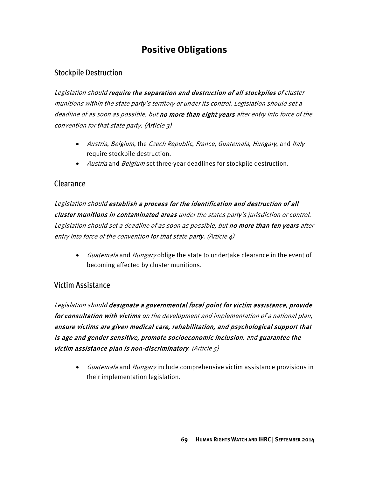# **Positive Obligations**

# Stockpile Destruction

Legislation should require the separation and destruction of all stockpiles of cluster munitions within the state party's territory or under its control. Legislation should set a deadline of as soon as possible, but no more than eight years after entry into force of the convention for that state party. (Article 3)

- Austria, Belgium, the Czech Republic, France, Guatemala, Hungary, and Italy require stockpile destruction.
- *Austria* and *Belgium* set three-year deadlines for stockpile destruction.

# Clearance

Legislation should establish a process for the identification and destruction of all cluster munitions in contaminated areas under the states party's jurisdiction or control. Legislation should set a deadline of as soon as possible, but no more than ten years after entry into force of the convention for that state party. (Article  $4)$ 

• Guatemala and Hungary oblige the state to undertake clearance in the event of becoming affected by cluster munitions.

# Victim Assistance

Legislation should designate a governmental focal point for victim assistance, provide for consultation with victims on the development and implementation of a national plan, ensure victims are given medical care, rehabilitation, and psychological support that is age and gender sensitive, promote socioeconomic inclusion, and guarantee the victim assistance plan is non-discriminatory. (Article  $5$ )

• Guatemala and Hungary include comprehensive victim assistance provisions in their implementation legislation.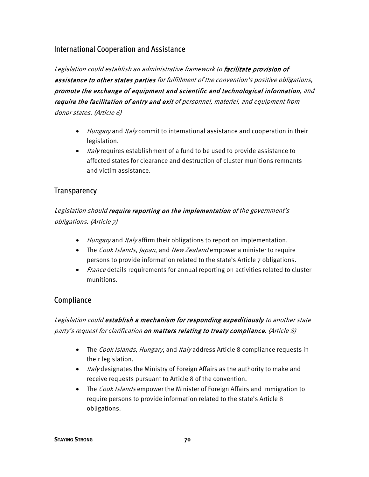#### International Cooperation and Assistance

Legislation could establish an administrative framework to facilitate provision of assistance to other states parties for fulfillment of the convention's positive obligations, promote the exchange of equipment and scientific and technological information, and require the facilitation of entry and exit of personnel, materiel, and equipment from donor states. (Article 6)

- Hungary and Italy commit to international assistance and cooperation in their legislation.
- Italy requires establishment of a fund to be used to provide assistance to affected states for clearance and destruction of cluster munitions remnants and victim assistance.

#### Transparency

Legislation should require reporting on the implementation of the government's obligations. (Article 7)

- Hungary and Italy affirm their obligations to report on implementation.
- The Cook Islands, Japan, and New Zealand empower a minister to require persons to provide information related to the state's Article 7 obligations.
- France details requirements for annual reporting on activities related to cluster munitions.

#### Compliance

Legislation could establish a mechanism for responding expeditiously to another state party's request for clarification on matters relating to treaty compliance. (Article 8)

- The *Cook Islands, Hungary*, and *Italy* address Article 8 compliance requests in their legislation.
- Italy designates the Ministry of Foreign Affairs as the authority to make and receive requests pursuant to Article 8 of the convention.
- The *Cook Islands* empower the Minister of Foreign Affairs and Immigration to require persons to provide information related to the state's Article 8 obligations.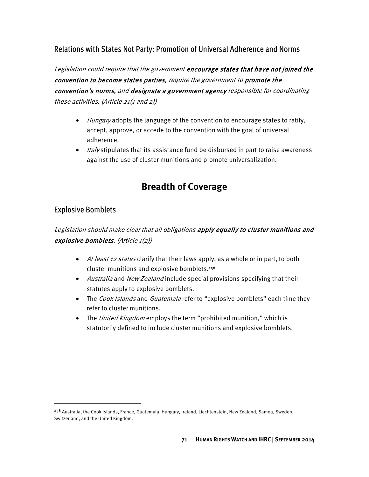# Relations with States Not Party: Promotion of Universal Adherence and Norms

Legislation could require that the government encourage states that have not joined the convention to become states parties, require the government to promote the convention's norms, and designate a government agency responsible for coordinating these activities. (Article 21(1 and 2))

- Hungary adopts the language of the convention to encourage states to ratify, accept, approve, or accede to the convention with the goal of universal adherence.
- Italy stipulates that its assistance fund be disbursed in part to raise awareness against the use of cluster munitions and promote universalization.

# **Breadth of Coverage**

#### Explosive Bomblets

 $\overline{\phantom{a}}$ 

# Legislation should make clear that all obligations apply equally to cluster munitions and explosive bomblets. (Article  $1(2)$ )

- At least 12 states clarify that their laws apply, as a whole or in part, to both cluster munitions and explosive bomblets.<sup>238</sup>
- Australia and New Zealand include special provisions specifying that their statutes apply to explosive bomblets.
- The *Cook Islands* and *Guatemala* refer to "explosive bomblets" each time they refer to cluster munitions.
- The United Kingdom employs the term "prohibited munition," which is statutorily defined to include cluster munitions and explosive bomblets.

<sup>&</sup>lt;sup>238</sup> Australia, the Cook Islands, France, Guatemala, Hungary, Ireland, Liechtenstein, New Zealand, Samoa, Sweden, Switzerland, and the United Kingdom.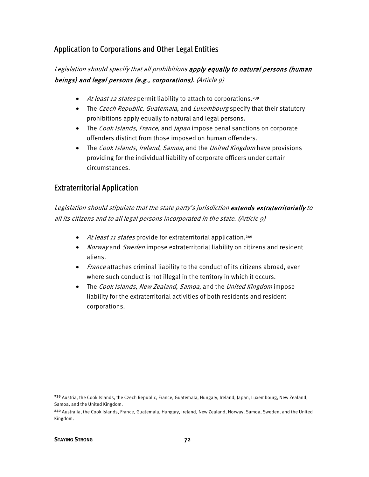# Application to Corporations and Other Legal Entities

## Legislation should specify that all prohibitions apply equally to natural persons (human beings) and legal persons (e.g., corporations). (Article 9)

- At least 12 states permit liability to attach to corporations.<sup>239</sup>
- The Czech Republic, Guatemala, and Luxembourg specify that their statutory prohibitions apply equally to natural and legal persons.
- The Cook Islands, France, and Japan impose penal sanctions on corporate offenders distinct from those imposed on human offenders.
- The Cook Islands, Ireland, Samoa, and the United Kingdom have provisions providing for the individual liability of corporate officers under certain circumstances.

#### Extraterritorial Application

Legislation should stipulate that the state party's jurisdiction extends extraterritorially to all its citizens and to all legal persons incorporated in the state. (Article 9)

- At least 11 states provide for extraterritorial application.<sup>240</sup>
- Norway and Sweden impose extraterritorial liability on citizens and resident aliens.
- *France* attaches criminal liability to the conduct of its citizens abroad, even where such conduct is not illegal in the territory in which it occurs.
- The Cook Islands, New Zealand, Samoa, and the United Kingdom impose liability for the extraterritorial activities of both residents and resident corporations.

 $\overline{\phantom{a}}$ 

<sup>&</sup>lt;sup>239</sup> Austria, the Cook Islands, the Czech Republic, France, Guatemala, Hungary, Ireland, Japan, Luxembourg, New Zealand, Samoa, and the United Kingdom.

<sup>240</sup> Australia, the Cook Islands, France, Guatemala, Hungary, Ireland, New Zealand, Norway, Samoa, Sweden, and the United Kingdom.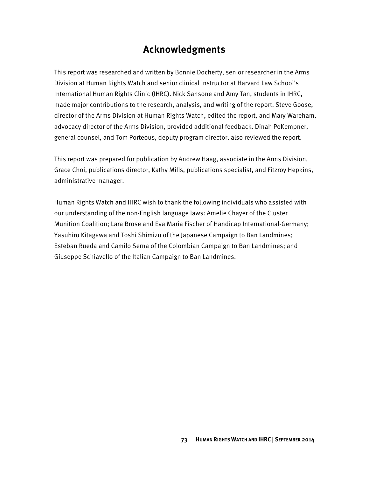# **Acknowledgments**

This report was researched and written by Bonnie Docherty, senior researcher in the Arms Division at Human Rights Watch and senior clinical instructor at Harvard Law School's International Human Rights Clinic (IHRC). Nick Sansone and Amy Tan, students in IHRC, made major contributions to the research, analysis, and writing of the report. Steve Goose, director of the Arms Division at Human Rights Watch, edited the report, and Mary Wareham, advocacy director of the Arms Division, provided additional feedback. Dinah PoKempner, general counsel, and Tom Porteous, deputy program director, also reviewed the report.

This report was prepared for publication by Andrew Haag, associate in the Arms Division, Grace Choi, publications director, Kathy Mills, publications specialist, and Fitzroy Hepkins, administrative manager.

Human Rights Watch and IHRC wish to thank the following individuals who assisted with our understanding of the non-English language laws: Amelie Chayer of the Cluster Munition Coalition; Lara Brose and Eva Maria Fischer of Handicap International-Germany; Yasuhiro Kitagawa and Toshi Shimizu of the Japanese Campaign to Ban Landmines; Esteban Rueda and Camilo Serna of the Colombian Campaign to Ban Landmines; and Giuseppe Schiavello of the Italian Campaign to Ban Landmines.